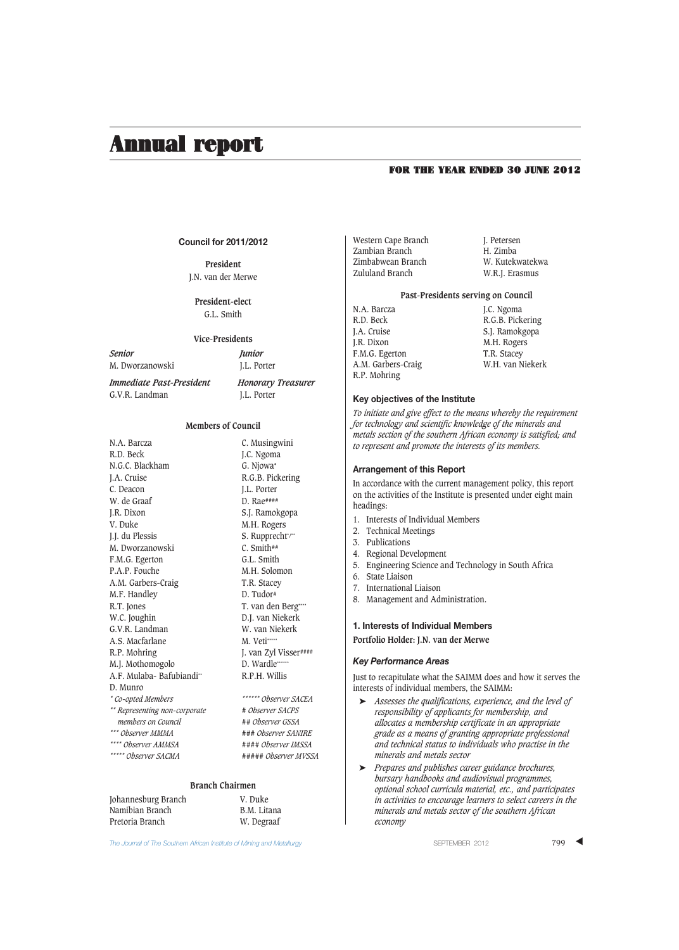### FOR THE YEAR ENDED 30 JUNE 2012

## **Council for 2011/2012**

**President** J.N. van der Merwe

> **President-elect** G.L. Smith

### **Vice-Presidents**

*Senior Junior* M. Dworzanowski J.L. Porter

*Immediate Past-President Honorary Treasurer* G.V.R. Landman J.L. Porter

### **Members of Council**

| N.A. Barcza                   | C. Musingwini                |
|-------------------------------|------------------------------|
| R.D. Beck                     | J.C. Ngoma                   |
| N.G.C. Blackham               | G. Njowa*                    |
| J.A. Cruise                   | R.G.B. Pickering             |
| C. Deacon                     | J.L. Porter                  |
| W. de Graaf                   | $D. Rae$ ####                |
| J.R. Dixon                    | S.J. Ramokgopa               |
| V. Duke                       | M.H. Rogers                  |
| J.J. du Plessis               | S. Rupprecht <sup>*/**</sup> |
| M. Dworzanowski               | $C.$ Smith##                 |
| F.M.G. Egerton                | G.L. Smith                   |
| P.A.P. Fouche                 | M.H. Solomon                 |
| A.M. Garbers-Craig            | T.R. Stacey                  |
| M.F. Handley                  | D. Tudor#                    |
| R.T. Jones                    | T. van den Berg****          |
| W.C. Joughin                  | D.J. van Niekerk             |
| G.V.R. Landman                | W. van Niekerk               |
| A.S. Macfarlane               | M. Veti*****                 |
| R.P. Mohring                  | J. van Zyl Visser####        |
| M.J. Mothomogolo              | D. Wardle ******             |
| A.F. Mulaba-Bafubiandi**      | R.P.H. Willis                |
| D. Munro                      |                              |
| * Co-opted Members            | ****** Observer SACEA        |
| ** Representing non-corporate | # Observer SACPS             |
| members on Council            | ## Observer GSSA             |
| *** Observer MMMA             | ### Observer SANIRE          |
| **** Observer AMMSA           | #### Observer IMSSA          |
| ***** Observer SACMA          | ##### Ohserver MVSSA         |
|                               |                              |
|                               |                              |

## **Branch Chairmen**

| Johannesburg Branch | V. Duke     |
|---------------------|-------------|
| Namibian Branch     | B.M. Litana |
| Pretoria Branch     | W. Degraaf  |

The Journal of The Southern African Institute of Mining and Metallurgy **Separation Control Control Control 199** ▲

Western Cape Branch J. Petersen<br>
Zambian Branch H. Zimba Zambian Branch Zimbabwean Branch W. Kutekwatekwa

W.R.J. Erasmus

## **Past-Presidents serving on Council**

N.A. Barcza J.C. Ngoma<br>R.D. Beck R.G.B. Pick R.D. Beck R.G.B. Pickering<br>
J.A. Cruise S.I. Ramokgoba J.A. Cruise S.J. Ramokgopa<br>
I.R. Dixon M.H. Rogers F.M.G. Egerton T.R. Stacey<br>A.M. Garbers-Craig W.H. van Niekerk A.M. Garbers-Craig R.P. Mohring

M.H. Rogers

#### **Key objectives of the Institute**

To initiate and give effect to the means whereby the requirement *for technology and scientific knowledge of the minerals and metals section of the southern African economy is satisfied; and to represent and promote the interests of its members.*

#### **Arrangement of this Report**

In accordance with the current management policy, this report on the activities of the Institute is presented under eight main headings:

- 1. Interests of Individual Members
- 2. Technical Meetings
- 3. Publications
- 4. Regional Development
- 5. Engineering Science and Technology in South Africa
- 6. State Liaison
- 7. International Liaison
- 8. Management and Administration.

#### **1. Interests of Individual Members**

**Portfolio Holder: J.N. van der Merwe**

#### *Key Performance Areas*

Just to recapitulate what the SAIMM does and how it serves the interests of individual members, the SAIMM:

- ➤ *Assesses the qualifications, experience, and the level of responsibility of applicants for membership, and allocates a membership certificate in an appropriate grade as a means of granting appropriate professional and technical status to individuals who practise in the minerals and metals sector*
- ➤ *Prepares and publishes career guidance brochures, bursary handbooks and audiovisual programmes, optional school curricula material, etc., and participates in activities to encourage learners to select careers in the minerals and metals sector of the southern African economy*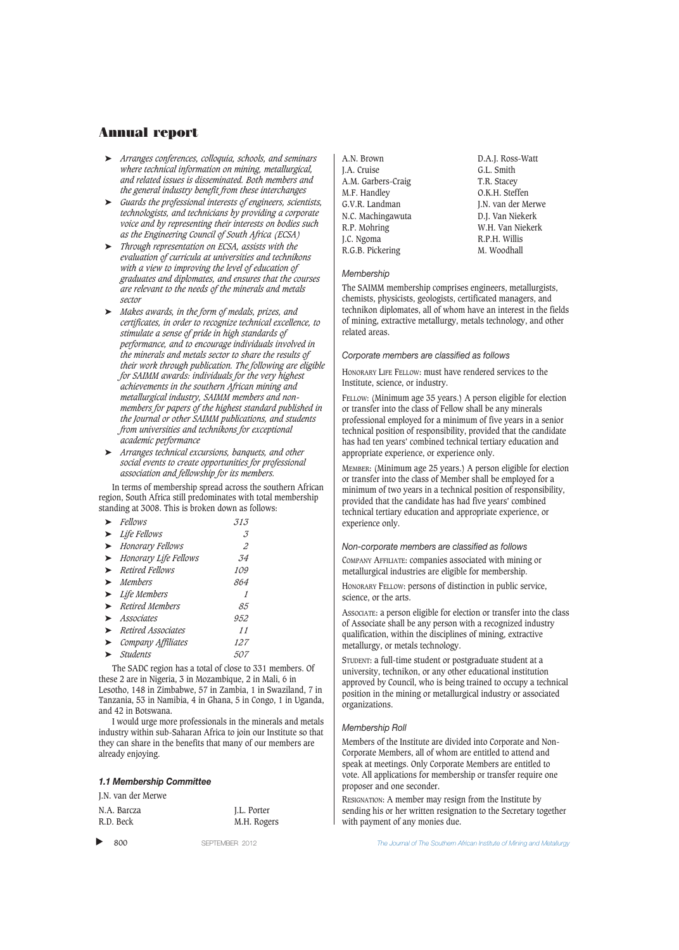- ➤ *Arranges conferences, colloquia, schools, and seminars where technical information on mining, metallurgical, and related issues is disseminated. Both members and the general industry benefit from these interchanges*
- ➤ *Guards the professional interests of engineers, scientists, technologists, and technicians by providing a corporate voice and by representing their interests on bodies such as the Engineering Council of South Africa (ECSA)*
- ➤ *Through representation on ECSA, assists with the evaluation of curricula at universities and technikons with a view to improving the level of education of graduates and diplomates, and ensures that the courses are relevant to the needs of the minerals and metals sector*
- ➤ *Makes awards, in the form of medals, prizes, and certificates, in order to recognize technical excellence, to stimulate a sense of pride in high standards of performance, and to encourage individuals involved in the minerals and metals sector to share the results of their work through publication. The following are eligible for SAIMM awards: individuals for the very highest achievements in the southern African mining and metallurgical industry, SAIMM members and nonmembers for papers of the highest standard published in the Journal or other SAIMM publications, and students from universities and technikons for exceptional academic performance*
- ➤ *Arranges technical excursions, banquets, and other social events to create opportunities for professional association and fellowship for its members.*

In terms of membership spread across the southern African region, South Africa still predominates with total membership standing at 3008. This is broken down as follows:

| $\blacktriangleright$ Fellows            | 313.                        |
|------------------------------------------|-----------------------------|
| $\blacktriangleright$ Life Fellows       | .3                          |
| > Honorary Fellows                       | $\mathcal{Z}_{\mathcal{Z}}$ |
| > Honorary Life Fellows                  | .34                         |
| $\blacktriangleright$ Retired Fellows    | <i>109</i>                  |
| $\blacktriangleright$ Members            | 864                         |
| $\blacktriangleright$ Life Members       | 1                           |
| $\blacktriangleright$ Retired Members    | 85                          |
| $\blacktriangleright$ Associates         | 952                         |
| $\blacktriangleright$ Retired Associates | 11                          |
| $\triangleright$ Company Affiliates      | 127                         |
| Students                                 | 507                         |
|                                          |                             |

The SADC region has a total of close to 331 members. Of these 2 are in Nigeria, 3 in Mozambique, 2 in Mali, 6 in Lesotho, 148 in Zimbabwe, 57 in Zambia, 1 in Swaziland, 7 in Tanzania, 53 in Namibia, 4 in Ghana, 5 in Congo, 1 in Uganda, and 42 in Botswana.

I would urge more professionals in the minerals and metals industry within sub-Saharan Africa to join our Institute so that they can share in the benefits that many of our members are already enjoying.

#### *1.1 Membership Committee*

J.N. van der Merwe

| N.A. Barcza | I.L. Porter |
|-------------|-------------|
| R.D. Beck   | M.H. Rogers |

▲

A.N. Brown D.A.J. Ross-Watt J.A. Cruise G.L. Smith<br>A.M. Garbers-Craig G.L. Stacev A.M. Garbers-Craig M.F. Handley **C.K.H. Steffen**<br>G.V.R. Landman **C.** I.N. van der Me N.C. Machingawuta R.P. Mohring W.H. Van Niekerk<br>I.C. Ngoma R.P.H. Willis J.C. Ngoma<br>
R.G.B. Pickering<br>
M. Woodhall R.G.B. Pickering

J.N. van der Merwe<br>D.J. Van Niekerk

## *Membership*

The SAIMM membership comprises engineers, metallurgists, chemists, physicists, geologists, certificated managers, and technikon diplomates, all of whom have an interest in the fields of mining, extractive metallurgy, metals technology, and other related areas.

#### *Corporate members are classified as follows*

HONORARY LIFE FELLOW: must have rendered services to the Institute, science, or industry.

FELLOW: (Minimum age 35 years.) A person eligible for election or transfer into the class of Fellow shall be any minerals professional employed for a minimum of five years in a senior technical position of responsibility, provided that the candidate has had ten years' combined technical tertiary education and appropriate experience, or experience only.

MEMBER: (Minimum age 25 years.) A person eligible for election or transfer into the class of Member shall be employed for a minimum of two years in a technical position of responsibility, provided that the candidate has had five years' combined technical tertiary education and appropriate experience, or experience only.

## *Non-corporate members are classified as follows* COMPANY AFFILIATE: companies associated with mining or metallurgical industries are eligible for membership.

HONORARY FELLOW: persons of distinction in public service, science, or the arts.

ASSOCIATE: a person eligible for election or transfer into the class of Associate shall be any person with a recognized industry qualification, within the disciplines of mining, extractive metallurgy, or metals technology.

STUDENT: a full-time student or postgraduate student at a university, technikon, or any other educational institution approved by Council, who is being trained to occupy a technical position in the mining or metallurgical industry or associated organizations.

#### *Membership Roll*

Members of the Institute are divided into Corporate and Non-Corporate Members, all of whom are entitled to attend and speak at meetings. Only Corporate Members are entitled to vote. All applications for membership or transfer require one proposer and one seconder.

RESIGNATION: A member may resign from the Institute by sending his or her written resignation to the Secretary together with payment of any monies due.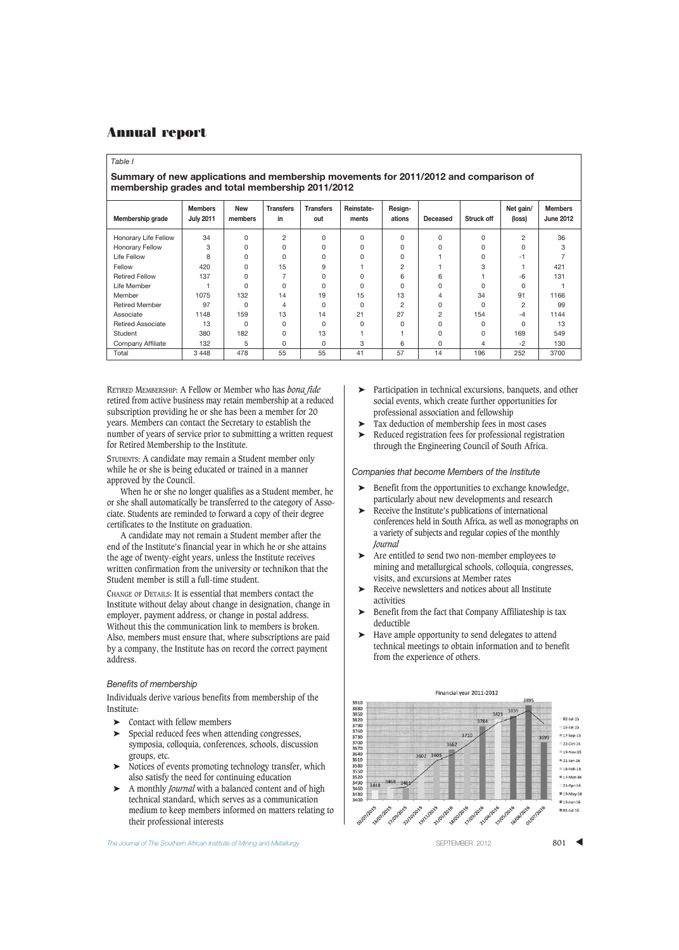#### *Table I*

## **Summary of new applications and membership movements for 2011/2012 and comparison of membership grades and total membership 2011/2012**

| Membership grade         | <b>Members</b><br><b>July 2011</b> | <b>New</b><br>members | <b>Transfers</b><br>in | <b>Transfers</b><br>out | Reinstate-<br>ments | Resign-<br>ations | <b>Deceased</b> | <b>Struck off</b> | Net gain/<br>(loss) | <b>Members</b><br><b>June 2012</b> |
|--------------------------|------------------------------------|-----------------------|------------------------|-------------------------|---------------------|-------------------|-----------------|-------------------|---------------------|------------------------------------|
| Honorary Life Fellow     | 34                                 | $\Omega$              | 2                      | 0                       | 0                   | 0                 | $\Omega$        | $\Omega$          | $\overline{2}$      | 36                                 |
| Honorary Fellow          | 3                                  |                       | $\Omega$               | O                       | O                   | 0                 |                 | U                 | $\Omega$            | 3                                  |
| Life Fellow              | 8                                  | $\Omega$              | $\Omega$               | O                       | O                   | $\Omega$          |                 |                   | $-1$                |                                    |
| Fellow                   | 420                                | O                     | 15                     | 9                       |                     | $\overline{2}$    |                 | 3                 |                     | 421                                |
| <b>Retired Fellow</b>    | 137                                | $\Omega$              |                        | 0                       | 0                   | 6                 | 6               |                   | $-6$                | 131                                |
| Life Member              |                                    | $\Omega$              | $\Omega$               | O                       | 0                   | $\Omega$          | $\Omega$        | $\Omega$          | $\Omega$            |                                    |
| Member                   | 1075                               | 132                   | 14                     | 19                      | 15                  | 13                | 4               | 34                | 91                  | 1166                               |
| <b>Retired Member</b>    | 97                                 | $\Omega$              | 4                      | 0                       | O                   | 2                 | $\Omega$        | $\Omega$          | $\overline{2}$      | 99                                 |
| Associate                | 1148                               | 159                   | 13                     | 14                      | 21                  | 27                | 2               | 154               | $-4$                | 1144                               |
| <b>Retired Associate</b> | 13                                 | $\Omega$              | $\Omega$               | 0                       | 0                   | $\Omega$          | $\Omega$        | $\Omega$          | $\Omega$            | 13                                 |
| Student                  | 380                                | 182                   | $\Omega$               | 13                      |                     |                   |                 | U                 | 169                 | 549                                |
| Company Affiliate        | 132                                | 5                     | $\Omega$               | 0                       | 3                   | 6                 | 0               | 4                 | $-2$                | 130                                |
| Total                    | 3 4 4 8                            | 478                   | 55                     | 55                      | 41                  | 57                | 14              | 196               | 252                 | 3700                               |

RETIRED MEMBERSHIP: A Fellow or Member who has *bona fide* retired from active business may retain membership at a reduced subscription providing he or she has been a member for 20 years. Members can contact the Secretary to establish the number of years of service prior to submitting a written request for Retired Membership to the Institute.

STUDENTS: A candidate may remain a Student member only while he or she is being educated or trained in a manner approved by the Council.

When he or she no longer qualifies as a Student member, he or she shall automatically be transferred to the category of Associate. Students are reminded to forward a copy of their degree certificates to the Institute on graduation.

A candidate may not remain a Student member after the end of the Institute's financial year in which he or she attains the age of twenty-eight years, unless the Institute receives written confirmation from the university or technikon that the Student member is still a full-time student.

CHANGE OF DETAILS: It is essential that members contact the Institute without delay about change in designation, change in employer, payment address, or change in postal address. Without this the communication link to members is broken. Also, members must ensure that, where subscriptions are paid by a company, the Institute has on record the correct payment address.

## *Benefits of membership*

Individuals derive various benefits from membership of the Institute:

- ➤ Contact with fellow members
- ➤ Special reduced fees when attending congresses, symposia, colloquia, conferences, schools, discussion groups, etc.
- ➤ Notices of events promoting technology transfer, which also satisfy the need for continuing education
- ➤ A monthly *Journal* with a balanced content and of high technical standard, which serves as a communication medium to keep members informed on matters relating to their professional interests

Participation in technical excursions, banquets, and other social events, which create further opportunities for professional association and fellowship ➤ Tax deduction of membership fees in most cases

- ➤ Reduced registration fees for professional registration
- through the Engineering Council of South Africa.

#### *Companies that become Members of the Institute*

- Benefit from the opportunities to exchange knowledge, particularly about new developments and research
- Receive the Institute's publications of international conferences held in South Africa, as well as monographs on a variety of subjects and regular copies of the monthly *Journal*
- ➤ Are entitled to send two non-member employees to mining and metallurgical schools, colloquia, congresses, visits, and excursions at Member rates
- ➤ Receive newsletters and notices about all Institute activities
- Benefit from the fact that Company Affiliateship is tax deductible
- ➤ Have ample opportunity to send delegates to attend technical meetings to obtain information and to benefit from the experience of others.



**The Journal of The Southern African Institute of Mining and Metallurgy Server SEPTEMBER 2012** 801 **801 4**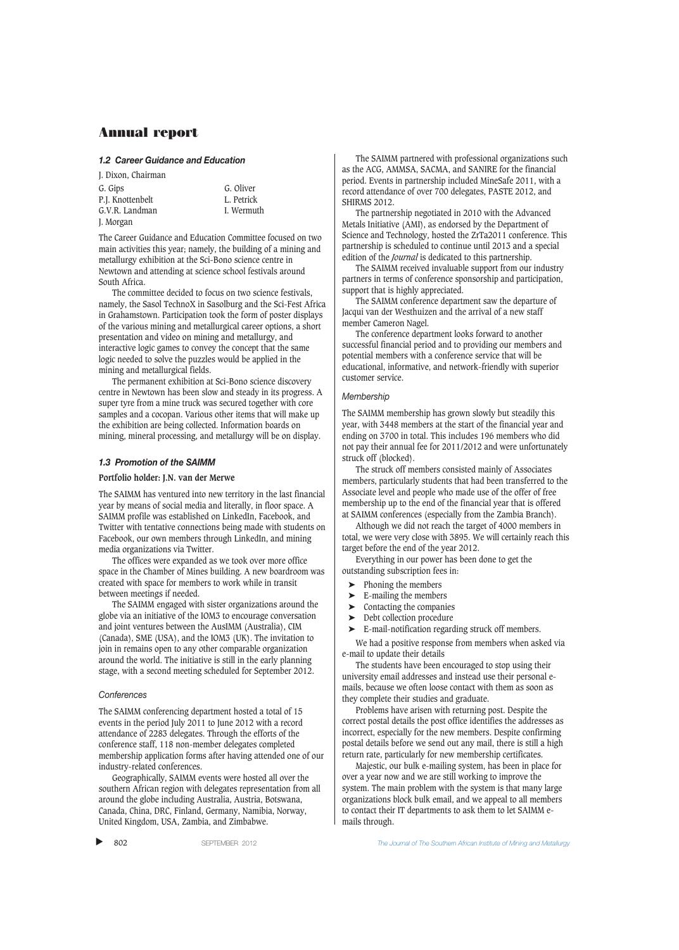#### *1.2 Career Guidance and Education*

J. Dixon, Chairman G. Gips G. Oliver P.I. Knottenbelt G.V.R. Landman I. Wermuth J. Morgan

The Career Guidance and Education Committee focused on two main activities this year; namely, the building of a mining and metallurgy exhibition at the Sci-Bono science centre in Newtown and attending at science school festivals around South Africa.

The committee decided to focus on two science festivals, namely, the Sasol TechnoX in Sasolburg and the Sci-Fest Africa in Grahamstown. Participation took the form of poster displays of the various mining and metallurgical career options, a short presentation and video on mining and metallurgy, and interactive logic games to convey the concept that the same logic needed to solve the puzzles would be applied in the mining and metallurgical fields.

The permanent exhibition at Sci-Bono science discovery centre in Newtown has been slow and steady in its progress. A super tyre from a mine truck was secured together with core samples and a cocopan. Various other items that will make up the exhibition are being collected. Information boards on mining, mineral processing, and metallurgy will be on display.

### *1.3 Promotion of the SAIMM*

### **Portfolio holder: J.N. van der Merwe**

The SAIMM has ventured into new territory in the last financial year by means of social media and literally, in floor space. A SAIMM profile was established on LinkedIn, Facebook, and Twitter with tentative connections being made with students on Facebook, our own members through LinkedIn, and mining media organizations via Twitter.

The offices were expanded as we took over more office space in the Chamber of Mines building. A new boardroom was created with space for members to work while in transit between meetings if needed.

The SAIMM engaged with sister organizations around the globe via an initiative of the IOM3 to encourage conversation and joint ventures between the AusIMM (Australia), CIM (Canada), SME (USA), and the IOM3 (UK). The invitation to join in remains open to any other comparable organization around the world. The initiative is still in the early planning stage, with a second meeting scheduled for September 2012.

### *Conferences*

The SAIMM conferencing department hosted a total of 15 events in the period July 2011 to June 2012 with a record attendance of 2283 delegates. Through the efforts of the conference staff, 118 non-member delegates completed membership application forms after having attended one of our industry-related conferences.

Geographically, SAIMM events were hosted all over the southern African region with delegates representation from all around the globe including Australia, Austria, Botswana, Canada, China, DRC, Finland, Germany, Namibia, Norway, United Kingdom, USA, Zambia, and Zimbabwe.

The SAIMM partnered with professional organizations such as the ACG, AMMSA, SACMA, and SANIRE for the financial period. Events in partnership included MineSafe 2011, with a record attendance of over 700 delegates, PASTE 2012, and SHIRMS 2012.

The partnership negotiated in 2010 with the Advanced Metals Initiative (AMI), as endorsed by the Department of Science and Technology, hosted the ZrTa2011 conference. This partnership is scheduled to continue until 2013 and a special edition of the *Journal* is dedicated to this partnership.

The SAIMM received invaluable support from our industry partners in terms of conference sponsorship and participation, support that is highly appreciated.

The SAIMM conference department saw the departure of Jacqui van der Westhuizen and the arrival of a new staff member Cameron Nagel.

The conference department looks forward to another successful financial period and to providing our members and potential members with a conference service that will be educational, informative, and network-friendly with superior customer service.

## *Membership*

The SAIMM membership has grown slowly but steadily this year, with 3448 members at the start of the financial year and ending on 3700 in total. This includes 196 members who did not pay their annual fee for 2011/2012 and were unfortunately struck off (blocked).

The struck off members consisted mainly of Associates members, particularly students that had been transferred to the Associate level and people who made use of the offer of free membership up to the end of the financial year that is offered at SAIMM conferences (especially from the Zambia Branch).

Although we did not reach the target of 4000 members in total, we were very close with 3895. We will certainly reach this target before the end of the year 2012.

Everything in our power has been done to get the outstanding subscription fees in:

- ➤ Phoning the members
- $\blacktriangleright$  E-mailing the members
- ➤ Contacting the companies
- ➤ Debt collection procedure
- ➤ E-mail-notification regarding struck off members.

We had a positive response from members when asked via e-mail to update their details

The students have been encouraged to stop using their university email addresses and instead use their personal emails, because we often loose contact with them as soon as they complete their studies and graduate.

Problems have arisen with returning post. Despite the correct postal details the post office identifies the addresses as incorrect, especially for the new members. Despite confirming postal details before we send out any mail, there is still a high return rate, particularly for new membership certificates.

Majestic, our bulk e-mailing system, has been in place for over a year now and we are still working to improve the system. The main problem with the system is that many large organizations block bulk email, and we appeal to all members to contact their IT departments to ask them to let SAIMM emails through.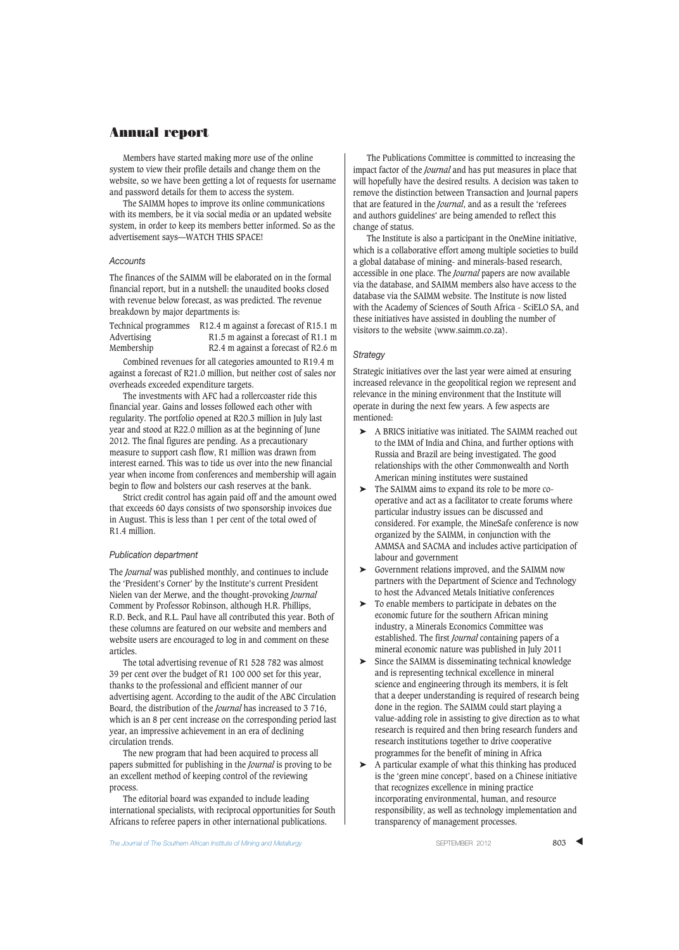Members have started making more use of the online system to view their profile details and change them on the website, so we have been getting a lot of requests for username and password details for them to access the system.

The SAIMM hopes to improve its online communications with its members, be it via social media or an updated website system, in order to keep its members better informed. So as the advertisement says—WATCH THIS SPACE!

#### *Accounts*

The finances of the SAIMM will be elaborated on in the formal financial report, but in a nutshell: the unaudited books closed with revenue below forecast, as was predicted. The revenue breakdown by major departments is:

| Technical programmes | R12.4 m against a forecast of R15.1 m |
|----------------------|---------------------------------------|
| Advertising          | R1.5 m against a forecast of R1.1 m   |
| Membership           | R2.4 m against a forecast of R2.6 m   |

Combined revenues for all categories amounted to R19.4 m against a forecast of R21.0 million, but neither cost of sales nor overheads exceeded expenditure targets.

The investments with AFC had a rollercoaster ride this financial year. Gains and losses followed each other with regularity. The portfolio opened at R20.3 million in July last year and stood at R22.0 million as at the beginning of June 2012. The final figures are pending. As a precautionary measure to support cash flow, R1 million was drawn from interest earned. This was to tide us over into the new financial year when income from conferences and membership will again begin to flow and bolsters our cash reserves at the bank.

Strict credit control has again paid off and the amount owed that exceeds 60 days consists of two sponsorship invoices due in August. This is less than 1 per cent of the total owed of R1.4 million.

#### *Publication department*

The *Journal* was published monthly, and continues to include the 'President's Corner' by the Institute's current President Nielen van der Merwe, and the thought-provoking *Journal* Comment by Professor Robinson, although H.R. Phillips, R.D. Beck, and R.L. Paul have all contributed this year. Both of these columns are featured on our website and members and website users are encouraged to log in and comment on these articles.

The total advertising revenue of R1 528 782 was almost 39 per cent over the budget of R1 100 000 set for this year, thanks to the professional and efficient manner of our advertising agent. According to the audit of the ABC Circulation Board, the distribution of the *Journal* has increased to 3 716, which is an 8 per cent increase on the corresponding period last year, an impressive achievement in an era of declining circulation trends.

The new program that had been acquired to process all papers submitted for publishing in the *Journal* is proving to be an excellent method of keeping control of the reviewing process.

The editorial board was expanded to include leading international specialists, with reciprocal opportunities for South Africans to referee papers in other international publications.

The Publications Committee is committed to increasing the impact factor of the *Journal* and has put measures in place that will hopefully have the desired results. A decision was taken to remove the distinction between Transaction and Journal papers that are featured in the *Journal*, and as a result the 'referees and authors guidelines' are being amended to reflect this change of status.

The Institute is also a participant in the OneMine initiative, which is a collaborative effort among multiple societies to build a global database of mining- and minerals-based research, accessible in one place. The *Journal* papers are now available via the database, and SAIMM members also have access to the database via the SAIMM website. The Institute is now listed with the Academy of Sciences of South Africa - SciELO SA, and these initiatives have assisted in doubling the number of visitors to the website (www.saimm.co.za).

#### *Strategy*

Strategic initiatives over the last year were aimed at ensuring increased relevance in the geopolitical region we represent and relevance in the mining environment that the Institute will operate in during the next few years. A few aspects are mentioned:

- ➤ A BRICS initiative was initiated. The SAIMM reached out to the IMM of India and China, and further options with Russia and Brazil are being investigated. The good relationships with the other Commonwealth and North American mining institutes were sustained
- ➤ The SAIMM aims to expand its role to be more cooperative and act as a facilitator to create forums where particular industry issues can be discussed and considered. For example, the MineSafe conference is now organized by the SAIMM, in conjunction with the AMMSA and SACMA and includes active participation of labour and government
- ➤ Government relations improved, and the SAIMM now partners with the Department of Science and Technology to host the Advanced Metals Initiative conferences
- ➤ To enable members to participate in debates on the economic future for the southern African mining industry, a Minerals Economics Committee was established. The first *Journal* containing papers of a mineral economic nature was published in July 2011
- ➤ Since the SAIMM is disseminating technical knowledge and is representing technical excellence in mineral science and engineering through its members, it is felt that a deeper understanding is required of research being done in the region. The SAIMM could start playing a value-adding role in assisting to give direction as to what research is required and then bring research funders and research institutions together to drive cooperative programmes for the benefit of mining in Africa
- $\blacktriangleright$  A particular example of what this thinking has produced is the 'green mine concept', based on a Chinese initiative that recognizes excellence in mining practice incorporating environmental, human, and resource responsibility, as well as technology implementation and transparency of management processes.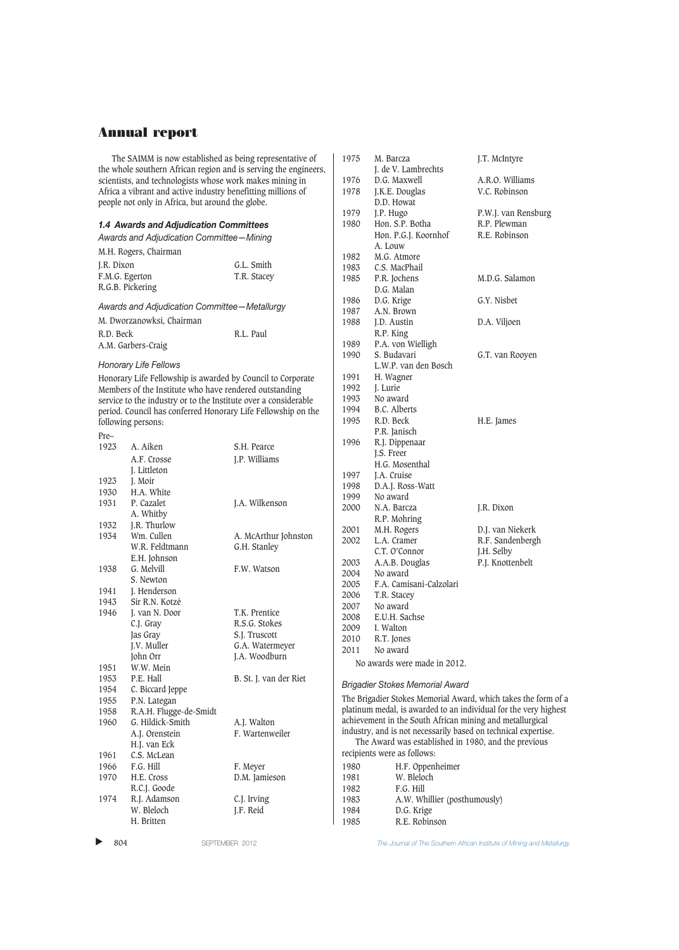|            | The SAIMM is now established as being representative of                                                          | the whole southern African region and is serving the engineers, | 1975         | M. Barcza<br>J. de V. Lambrechts                               | J.T. McIntyre                                                    |
|------------|------------------------------------------------------------------------------------------------------------------|-----------------------------------------------------------------|--------------|----------------------------------------------------------------|------------------------------------------------------------------|
|            | scientists, and technologists whose work makes mining in                                                         |                                                                 | 1976         | D.G. Maxwell                                                   | A.R.O. Williams                                                  |
|            |                                                                                                                  |                                                                 | 1978         |                                                                | V.C. Robinson                                                    |
|            | Africa a vibrant and active industry benefitting millions of<br>people not only in Africa, but around the globe. |                                                                 |              | J.K.E. Douglas<br>D.D. Howat                                   |                                                                  |
|            |                                                                                                                  |                                                                 | 1979         | J.P. Hugo                                                      | P.W.J. van Rensburg                                              |
|            | 1.4 Awards and Adjudication Committees                                                                           |                                                                 | 1980         | Hon. S.P. Botha                                                | R.P. Plewman                                                     |
|            | Awards and Adjudication Committee-Mining                                                                         |                                                                 |              | Hon. P.G.J. Koornhof                                           | R.E. Robinson                                                    |
|            |                                                                                                                  |                                                                 |              | A. Louw                                                        |                                                                  |
|            | M.H. Rogers, Chairman                                                                                            |                                                                 | 1982         | M.G. Atmore                                                    |                                                                  |
| J.R. Dixon |                                                                                                                  | G.L. Smith                                                      | 1983         | C.S. MacPhail                                                  |                                                                  |
|            | F.M.G. Egerton                                                                                                   | T.R. Stacey                                                     | 1985         | P.R. Jochens                                                   | M.D.G. Salamon                                                   |
|            | R.G.B. Pickering                                                                                                 |                                                                 |              | D.G. Malan                                                     |                                                                  |
|            | Awards and Adjudication Committee-Metallurgy                                                                     |                                                                 | 1986         | D.G. Krige                                                     | G.Y. Nisbet                                                      |
|            |                                                                                                                  |                                                                 | 1987         | A.N. Brown                                                     |                                                                  |
|            | M. Dworzanowksi, Chairman                                                                                        |                                                                 | 1988         | J.D. Austin                                                    | D.A. Viljoen                                                     |
| R.D. Beck  |                                                                                                                  | R.L. Paul                                                       |              | R.P. King                                                      |                                                                  |
|            | A.M. Garbers-Craig                                                                                               |                                                                 | 1989         | P.A. von Wielligh                                              |                                                                  |
|            |                                                                                                                  |                                                                 | 1990         | S. Budavari                                                    | G.T. van Rooyen                                                  |
|            | Honorary Life Fellows                                                                                            |                                                                 |              | L.W.P. van den Bosch                                           |                                                                  |
|            | Honorary Life Fellowship is awarded by Council to Corporate                                                      |                                                                 | 1991         | H. Wagner                                                      |                                                                  |
|            | Members of the Institute who have rendered outstanding                                                           |                                                                 | 1992         | J. Lurie                                                       |                                                                  |
|            | service to the industry or to the Institute over a considerable                                                  |                                                                 | 1993         | No award                                                       |                                                                  |
|            |                                                                                                                  | period. Council has conferred Honorary Life Fellowship on the   | 1994         | <b>B.C.</b> Alberts                                            |                                                                  |
|            | following persons:                                                                                               |                                                                 | 1995         | R.D. Beck                                                      | H.E. James                                                       |
| Pre-       |                                                                                                                  |                                                                 |              | P.R. Janisch                                                   |                                                                  |
| 1923       | A. Aiken                                                                                                         | S.H. Pearce                                                     | 1996         | R.J. Dippenaar                                                 |                                                                  |
|            | A.F. Crosse                                                                                                      | J.P. Williams                                                   |              | J.S. Freer                                                     |                                                                  |
|            | J. Littleton                                                                                                     |                                                                 |              | H.G. Mosenthal                                                 |                                                                  |
| 1923       | J. Moir                                                                                                          |                                                                 | 1997         | J.A. Cruise                                                    |                                                                  |
| 1930       | H.A. White                                                                                                       |                                                                 | 1998         | D.A.J. Ross-Watt                                               |                                                                  |
| 1931       | P. Cazalet                                                                                                       | J.A. Wilkenson                                                  | 1999<br>2000 | No award                                                       |                                                                  |
|            | A. Whitby                                                                                                        |                                                                 |              | N.A. Barcza                                                    | J.R. Dixon                                                       |
| 1932       | J.R. Thurlow                                                                                                     |                                                                 | 2001         | R.P. Mohring<br>M.H. Rogers                                    | D.J. van Niekerk                                                 |
| 1934       | Wm. Cullen                                                                                                       | A. McArthur Johnston                                            | 2002         | L.A. Cramer                                                    | R.F. Sandenbergh                                                 |
|            | W.R. Feldtmann                                                                                                   | G.H. Stanley                                                    |              | C.T. O'Connor                                                  | J.H. Selby                                                       |
|            | E.H. Johnson                                                                                                     |                                                                 | 2003         | A.A.B. Douglas                                                 | P.J. Knottenbelt                                                 |
| 1938       | G. Melvill                                                                                                       | F.W. Watson                                                     | 2004         | No award                                                       |                                                                  |
|            | S. Newton                                                                                                        |                                                                 | 2005         | F.A. Camisani-Calzolari                                        |                                                                  |
| 1941       | J. Henderson                                                                                                     |                                                                 | 2006         | T.R. Stacey                                                    |                                                                  |
| 1943       | Sir R.N. Kotzé                                                                                                   |                                                                 | 2007         | No award                                                       |                                                                  |
| 1946       | J. van N. Door                                                                                                   | T.K. Prentice                                                   | 2008         | E.U.H. Sachse                                                  |                                                                  |
|            | C.J. Gray                                                                                                        | R.S.G. Stokes                                                   | 2009         | I. Walton                                                      |                                                                  |
|            | Jas Gray                                                                                                         | S.J. Truscott                                                   | 2010         | R.T. Jones                                                     |                                                                  |
|            | J.V. Muller                                                                                                      | G.A. Watermeyer                                                 | 2011         | No award                                                       |                                                                  |
|            | John Orr                                                                                                         | J.A. Woodburn                                                   |              | No awards were made in 2012.                                   |                                                                  |
| 1951       | W.W. Mein                                                                                                        |                                                                 |              |                                                                |                                                                  |
| 1953       | P.E. Hall                                                                                                        | B. St. J. van der Riet                                          |              | <b>Brigadier Stokes Memorial Award</b>                         |                                                                  |
| 1954       | C. Biccard Jeppe                                                                                                 |                                                                 |              |                                                                |                                                                  |
| 1955       | P.N. Lategan                                                                                                     |                                                                 |              |                                                                | The Brigadier Stokes Memorial Award, which takes the form of a   |
| 1958       | R.A.H. Flugge-de-Smidt                                                                                           |                                                                 |              |                                                                | platinum medal, is awarded to an individual for the very highest |
| 1960       | G. Hildick-Smith                                                                                                 | A.J. Walton                                                     |              | achievement in the South African mining and metallurgical      |                                                                  |
|            | A.J. Orenstein                                                                                                   | F. Wartenweiler                                                 |              | industry, and is not necessarily based on technical expertise. |                                                                  |
|            | H.J. van Eck                                                                                                     |                                                                 |              | The Award was established in 1980, and the previous            |                                                                  |
| 1961       | C.S. McLean                                                                                                      |                                                                 |              | recipients were as follows:                                    |                                                                  |
| 1966       | F.G. Hill                                                                                                        | F. Meyer                                                        | 1980         | H.F. Oppenheimer                                               |                                                                  |
| 1970       | H.E. Cross                                                                                                       | D.M. Jamieson                                                   | 1981         | W. Bleloch                                                     |                                                                  |
|            | R.C.J. Goode                                                                                                     |                                                                 | 1982         | F.G. Hill                                                      |                                                                  |
| 1974       | R.J. Adamson                                                                                                     | C.J. Irving                                                     | 1983         | A.W. Whillier (posthumously)                                   |                                                                  |
|            | W. Bleloch                                                                                                       | J.F. Reid                                                       | 1984         | D.G. Krige                                                     |                                                                  |
|            | H. Britten                                                                                                       |                                                                 | 1985         | R.E. Robinson                                                  |                                                                  |

 $\blacktriangleright$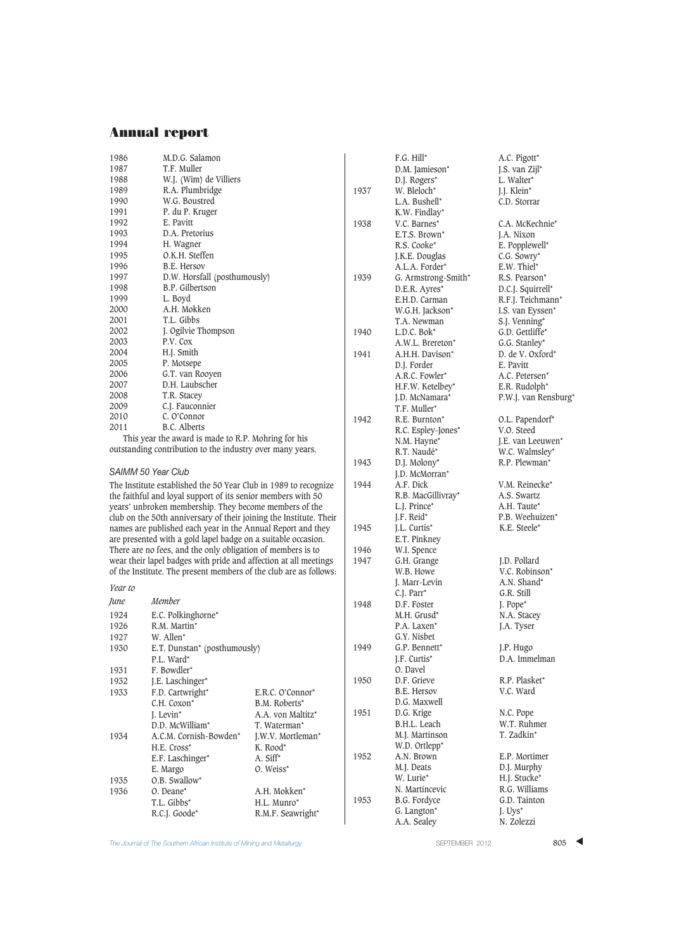| T.F. Muller<br>1987<br>W.J. (Wim) de Villiers<br>1988 |  |
|-------------------------------------------------------|--|
|                                                       |  |
|                                                       |  |
| R.A. Plumbridge<br>1989                               |  |
| W.G. Boustred<br>1990                                 |  |
| 1991<br>P. du P. Kruger                               |  |
| 1992<br>E. Pavitt                                     |  |
| D.A. Pretorius<br>1993                                |  |
| 1994<br>H. Wagner                                     |  |
| O.K.H. Steffen<br>1995                                |  |
| 1996<br>B.E. Hersov                                   |  |
| D.W. Horsfall (posthumously)<br>1997                  |  |
| B.P. Gilbertson<br>1998                               |  |
| 1999<br>L. Boyd                                       |  |
| A.H. Mokken<br>2000                                   |  |
| T.L. Gibbs<br>2001                                    |  |
| J. Ogilvie Thompson<br>2002                           |  |
| 2003<br>P.V. Cox                                      |  |
| 2004<br>H.J. Smith                                    |  |
| 2005<br>P. Motsepe                                    |  |
| 2006<br>G.T. van Rooyen                               |  |
| D.H. Laubscher<br>2007                                |  |
| 2008<br>T.R. Stacey                                   |  |
| 2009<br>C.J. Fauconnier                               |  |
| 2010<br>C. O'Connor                                   |  |
| B.C. Alberts<br>2011<br>$1$ , nn $1$ , 1<br>$\sim$    |  |

This year the award is made to R.P. Mohring for his outstanding contribution to the industry over many years.

### *SAIMM 50 Year Club*

The Institute established the 50 Year Club in 1989 to recognize the faithful and loyal support of its senior members with 50 years' unbroken membership. They become members of the club on the 50th anniversary of their joining the Institute. Their names are published each year in the Annual Report and they are presented with a gold lapel badge on a suitable occasion. There are no fees, and the only obligation of members is to wear their lapel badges with pride and affection at all meetings of the Institute. The present mem bers of the club are as follows:

*Year to June Member* 1924 E.C. Polkinghorne\* 1926 R.M. Martin\*<br>1927 W. Allen\* W. Allen\* 1930 E.T. Dunstan\* (posthumously) P.L. Ward\* 1931 F. Bowdler\*<br>1932 I.E. Laschin J.E. Laschinger\* 1933 F.D. Cartwright\* E.R.C. O'Connor\* <br>C.H. Coxon\* B.M. Roberts\* C.H. Coxon<sup>\*</sup> B.M. Roberts<sup>\*</sup><br>J. Levin<sup>\*</sup> A.A. von Malt A.A. von Maltitz\*<br>T. Waterman\* D.D. McWilliam\* T. Waterman\* A.C.M. Cornish-Bowden\* J.W.V. Mortleman\* 1934 A.C.M. Cornish-Bowden\* H.E. Cross\* K. Rood\* E.F. Laschinger\* A. Siff\* E.F. Laschinger\* E. Margo O. Weiss\* 1935 **O.B. Swallow\***<br>1936 **O. Deane\*** 0. Deane\* A.H. Mokken\* T.L. Gibbs\* H.L. Munro\* H.L. Munro\* R.C.J. Goode\* R.M.F. Seawright\*

|      | F.G. Hill*                | A.C. Pigott*               |
|------|---------------------------|----------------------------|
|      | D.M. Jamieson*            | J.S. van Zijl*             |
|      | D.J. Rogers*              | L. Walter*                 |
| 1937 | W. Bleloch*               | J.J. Klein*                |
|      | L.A. Bushell*             | C.D. Storrar               |
|      | K.W. Findlay*             |                            |
| 1938 | V.C. Barnes*              | C.A. McKechnie*            |
|      | E.T.S. Brown*             | J.A. Nixon                 |
|      | R.S. Cooke <sup>*</sup>   | E. Popplewell*             |
|      | J.K.E. Douglas            | C.G. Sowry*                |
|      | A.L.A. Forder*            | E.W. Thiel*                |
| 1939 | G. Armstrong-Smith*       | R.S. Pearson*              |
|      | D.E.R. Ayres*             | D.C.J. Squirrell*          |
|      | E.H.D. Carman             | R.F.J. Teichmann*          |
|      | W.G.H. Jackson*           | I.S. van Eyssen*           |
|      | T.A. Newman               | S.J. Venning*              |
| 1940 | L.D.C. Bok*               | G.D. Gettliffe*            |
|      | A.W.L. Brereton*          | G.G. Stanley*              |
| 1941 | A.H.H. Davison*           | D. de V. Oxford*           |
|      | D.J. Forder               | E. Pavitt                  |
|      | A.R.C. Fowler*            | A.C. Petersen*             |
|      | H.F.W. Ketelbey*          | E.R. Rudolph*              |
|      | J.D. McNamara*            | P.W.J. van Rensburg*       |
|      | T.F. Muller*              |                            |
| 1942 | R.E. Burnton <sup>*</sup> | O.L. Papendorf*            |
|      | R.C. Espley-Jones*        | V.O. Steed                 |
|      | N.M. Hayne*               | J.E. van Leeuwen*          |
|      | R.T. Naudé*               | W.C. Walmsley*             |
| 1943 | D.J. Molony*              | R.P. Plewman*              |
|      | J.D. McMorran*            |                            |
| 1944 | A.F. Dick                 | V.M. Reinecke*             |
|      | R.B. MacGillivray*        | A.S. Swartz                |
|      | L.J. Prince*              | A.H. Taute*                |
|      | J.F. Reid*                | P.B. Weehuizen*            |
| 1945 | J.L. Curtis*              | K.E. Steele*               |
|      | E.T. Pinkney              |                            |
| 1946 | W.I. Spence               |                            |
| 1947 | G.H. Grange               | J.D. Pollard               |
|      | W.B. Howe                 | V.C. Robinson*             |
|      | J. Marr-Levin             | A.N. Shand*                |
|      | C.J. Parr*                | G.R. Still                 |
| 1948 | D.F. Foster               | J. Pope*                   |
|      | M.H. Grusd <sup>*</sup>   | N.A. Stacey                |
|      | P.A. Laxen*               | J.A. Tyser                 |
|      | G.Y. Nisbet               |                            |
| 1949 | G.P. Bennett*             | J.P. Hugo<br>D.A. Immelman |
|      | J.F. Curtis <sup>*</sup>  |                            |
| 1950 | O. Davel<br>D.F. Grieve   | R.P. Plasket*              |
|      | <b>B.E. Hersov</b>        | V.C. Ward                  |
|      | D.G. Maxwell              |                            |
| 1951 | D.G. Krige                | N.C. Pope                  |
|      | B.H.L. Leach              | W.T. Ruhmer                |
|      | M.J. Martinson            | T. Zadkin*                 |
|      | W.D. Ortlepp*             |                            |
| 1952 | A.N. Brown                | E.P. Mortimer              |
|      | M.J. Deats                | D.J. Murphy                |
|      | W. Lurie*                 | H.J. Stucke*               |
|      | N. Martincevic            | R.G. Williams              |
| 1953 | B.G. Fordyce              | G.D. Tainton               |
|      | G. Langton*               | J. Uys <sup>*</sup>        |
|      | A.A. Sealey               | N. Zolezzi                 |
|      |                           |                            |

The Journal of The Southern African Institute of Mining and Metallurgy Server States of the SEPTEMBER 2012 805 4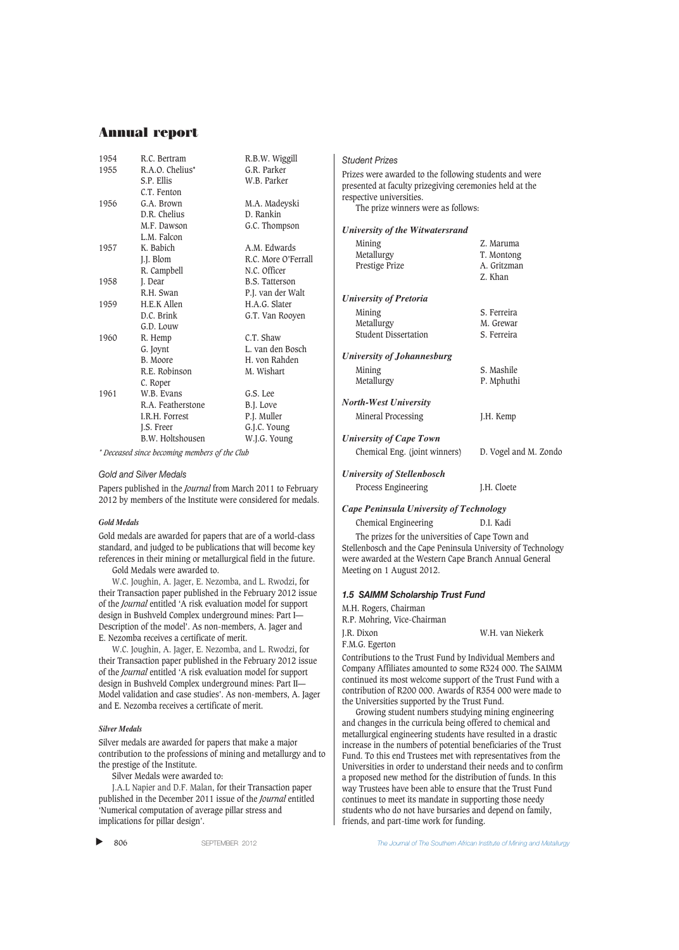| 1954 | R.C. Bertram      | R.B.W. Wiggill        |
|------|-------------------|-----------------------|
| 1955 | R.A.O. Chelius*   | G.R. Parker           |
|      | S.P. Ellis        | W.B. Parker           |
|      | C.T. Fenton       |                       |
| 1956 | G.A. Brown        | M.A. Madeyski         |
|      | D.R. Chelius      | D. Rankin             |
|      | M.F. Dawson       | G.C. Thompson         |
|      | L.M. Falcon       |                       |
| 1957 | K. Babich         | A.M. Edwards          |
|      | J.J. Blom         | R.C. More O'Ferrall   |
|      | R. Campbell       | N.C. Officer          |
| 1958 | J. Dear           | <b>B.S. Tatterson</b> |
|      | R.H. Swan         | P.J. van der Walt     |
| 1959 | H.E.K Allen       | H.A.G. Slater         |
|      | D.C. Brink        | G.T. Van Rooyen       |
|      | G.D. Louw         |                       |
| 1960 | R. Hemp           | C.T. Shaw             |
|      | G. Joynt          | L. van den Bosch      |
|      | B. Moore          | H. von Rahden         |
|      | R.E. Robinson     | M. Wishart            |
|      | C. Roper          |                       |
| 1961 | W.B. Evans        | G.S. Lee              |
|      | R.A. Featherstone | B.J. Love             |
|      | I.R.H. Forrest    | P.J. Muller           |
|      | J.S. Freer        | G.J.C. Young          |
|      | B.W. Holtshousen  | W.J.G. Young          |
|      |                   |                       |

*\* Deceased since becoming members of the Club*

#### *Gold and Silver Medals*

Papers published in the *Journal* from March 2011 to February 2012 by members of the Institute were considered for medals.

#### *Gold Medals*

Gold medals are awarded for papers that are of a world-class standard, and judged to be publications that will become key references in their mining or metallurgical field in the future.

Gold Medals were awarded to.

W.C. Joughin, A. Jager, E. Nezomba, and L. Rwodzi, for their Transaction paper published in the February 2012 issue of the *Journal* entitled 'A risk evaluation model for support design in Bushveld Complex underground mines: Part I— Description of the model'. As non-members, A. Jager and E. Nezomba receives a certificate of merit.

W.C. Joughin, A. Jager, E. Nezomba, and L. Rwodzi, for their Transaction paper published in the February 2012 issue of the *Journal* entitled 'A risk evaluation model for support design in Bushveld Complex underground mines: Part II— Model validation and case studies'. As non-members, A. Jager and E. Nezomba receives a certificate of merit.

## *Silver Medals*

Silver medals are awarded for papers that make a major contribution to the professions of mining and metallurgy and to the prestige of the Institute.

Silver Medals were awarded to:

J.A.L Napier and D.F. Malan, for their Transaction paper published in the December 2011 issue of the *Journal* entitled 'Numerical computation of average pillar stress and implications for pillar design'.

#### $\blacktriangleright$

#### *Student Prizes*

Prizes were awarded to the following students and were presented at faculty prizegiving ceremonies held at the respective universities. The prize winners were as follows: *University of the Witwatersrand* Mining 2. Maruma<br>Metallurgy 7. Montong T. Montong<br>A. Gritzman Prestige Prize Z. Khan *University of Pretoria* Mining S. Ferreira Metallurgy M. Grewar<br>
Student Dissertation<br>
S. Ferreira Student Dissertation *University of Johannesburg* Mining S. Mashile Metallurgy P. Mphuthi *North-West University* Mineral Processing T.H. Kemp *University of Cape Town* Chemical Eng. (joint winners) D. Vogel and M. Zondo *University of Stellenbosch* Process Engineering J.H. Cloete

#### *Cape Peninsula University of Technology*

Chemical Engineering D.I. Kadi The prizes for the universities of Cape Town and Stellenbosch and the Cape Peninsula University of Technology were awarded at the Western Cape Branch Annual General Meeting on 1 August 2012.

#### *1.5 SAIMM Scholarship Trust Fund*

M.H. Rogers, Chairman

R.P. Mohring, Vice-Chairman

J.R. Dixon W.H. van Niekerk F.M.G. Egerton

Contributions to the Trust Fund by Individual Members and Company Affiliates amounted to some R324 000. The SAIMM continued its most welcome support of the Trust Fund with a contribution of R200 000. Awards of R354 000 were made to the Universities supported by the Trust Fund.

Growing student numbers studying mining engineering and changes in the curricula being offered to chemical and metallurgical engineering students have resulted in a drastic increase in the numbers of potential beneficiaries of the Trust Fund. To this end Trustees met with representatives from the Universities in order to understand their needs and to confirm a proposed new method for the distribution of funds. In this way Trustees have been able to ensure that the Trust Fund continues to meet its mandate in supporting those needy students who do not have bursaries and depend on family, friends, and part-time work for funding.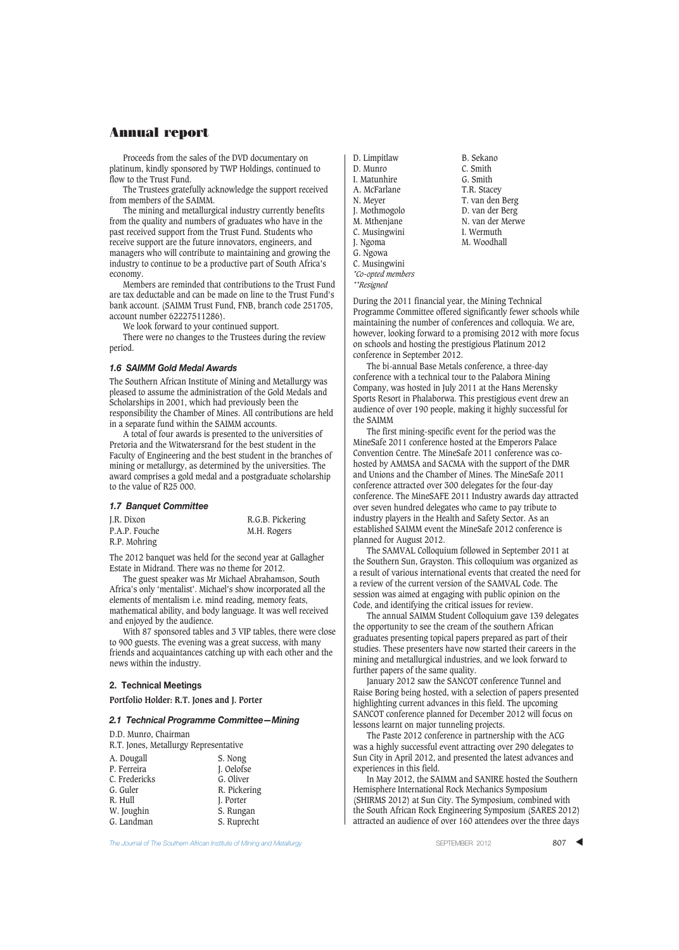Proceeds from the sales of the DVD documentary on platinum, kindly sponsored by TWP Holdings, continued to flow to the Trust Fund.

The Trustees gratefully acknowledge the support received from members of the SAIMM.

The mining and metallurgical industry currently benefits from the quality and numbers of graduates who have in the past received support from the Trust Fund. Students who receive support are the future innovators, engineers, and managers who will contribute to maintaining and growing the industry to continue to be a productive part of South Africa's economy.

Members are reminded that contributions to the Trust Fund are tax deductable and can be made on line to the Trust Fund's bank account. (SAIMM Trust Fund, FNB, branch code 251705, account number 62227511286).

We look forward to your continued support.

There were no changes to the Trustees during the review period.

#### *1.6 SAIMM Gold Medal Awards*

The Southern African Institute of Mining and Metallurgy was pleased to assume the administration of the Gold Medals and Scholarships in 2001, which had previously been the responsibility the Chamber of Mines. All contributions are held in a separate fund within the SAIMM accounts.

A total of four awards is presented to the universities of Pretoria and the Witwatersrand for the best student in the Faculty of Engineering and the best student in the branches of mining or metallurgy, as determined by the universities. The award comprises a gold medal and a postgraduate scholarship to the value of R25 000.

#### *1.7 Banquet Committee*

| J.R. Dixon    | R.G.B. Pickering |
|---------------|------------------|
| P.A.P. Fouche | M.H. Rogers      |
| R.P. Mohring  |                  |

The 2012 banquet was held for the second year at Gallagher Estate in Midrand. There was no theme for 2012.

The guest speaker was Mr Michael Abrahamson, South Africa's only 'mentalist'. Michael's show incorporated all the elements of mentalism i.e. mind reading, memory feats, mathematical ability, and body language. It was well received and enjoyed by the audience.

With 87 sponsored tables and 3 VIP tables, there were close to 900 guests. The evening was a great success, with many friends and acquaintances catching up with each other and the news within the industry.

#### **2. Technical Meetings**

**Portfolio Holder: R.T. Jones and J. Porter**

#### *2.1 Technical Programme Committee—Mining*

D.D. Munro, Chairman

R.T. Jones, Metallurgy Representative

| A. Dougall    | S. Nong      |
|---------------|--------------|
| P. Ferreira   | J. Oelofse   |
| C. Fredericks | G. Oliver    |
| G. Guler      | R. Pickering |
| R. Hull       | J. Porter    |
| W. Joughin    | S. Rungan    |
| G. Landman    | S. Ruprecht  |

D. Limpitlaw B. Sekano<br>D. Munro C. Smith D. Munro C. Smith<br>
I. Matunhire G. Smith I. Matunhire G. Smith<br>A. McFarlane T.R. Stacey A. McFarlane<br>N. Mever N. Meyer T. van den Berg<br>
J. Mothmogolo D. van der Berg J. Mothmogolo D. van der Berg C. Musingwini I. Wermuth<br>
I. Ngoma M. Woodhall J. Ngoma G. Ngowa C. Musingwini *\*Co-opted members \*\*Resigned*

N. van der Merwe<br>I. Wermuth

During the 2011 financial year, the Mining Technical Programme Committee offered significantly fewer schools while maintaining the number of conferences and colloquia. We are, however, looking forward to a promising 2012 with more focus on schools and hosting the prestigious Platinum 2012 conference in September 2012.

The bi-annual Base Metals conference, a three-day conference with a technical tour to the Palabora Mining Company, was hosted in July 2011 at the Hans Merensky Sports Resort in Phalaborwa. This prestigious event drew an audience of over 190 people, making it highly successful for the SAIMM

The first mining-specific event for the period was the MineSafe 2011 conference hosted at the Emperors Palace Convention Centre. The MineSafe 2011 conference was cohosted by AMMSA and SACMA with the support of the DMR and Unions and the Chamber of Mines. The MineSafe 2011 conference attracted over 300 delegates for the four-day conference. The MineSAFE 2011 Industry awards day attracted over seven hundred delegates who came to pay tribute to industry players in the Health and Safety Sector. As an established SAIMM event the MineSafe 2012 conference is planned for August 2012.

The SAMVAL Colloquium followed in September 2011 at the Southern Sun, Grayston. This colloquium was organized as a result of various international events that created the need for a review of the current version of the SAMVAL Code. The session was aimed at engaging with public opinion on the Code, and identifying the critical issues for review.

The annual SAIMM Student Colloquium gave 139 delegates the opportunity to see the cream of the southern African graduates presenting topical papers prepared as part of their studies. These presenters have now started their careers in the mining and metallurgical industries, and we look forward to further papers of the same quality.

January 2012 saw the SANCOT conference Tunnel and Raise Boring being hosted, with a selection of papers presented highlighting current advances in this field. The upcoming SANCOT conference planned for December 2012 will focus on lessons learnt on major tunneling projects.

The Paste 2012 conference in partnership with the ACG was a highly successful event attracting over 290 delegates to Sun City in April 2012, and presented the latest advances and experiences in this field.

In May 2012, the SAIMM and SANIRE hosted the Southern Hemisphere International Rock Mechanics Symposium (SHIRMS 2012) at Sun City. The Symposium, combined with the South African Rock Engineering Symposium (SARES 2012) attracted an audience of over 160 attendees over the three days

**The Journal of The Southern African Institute of Mining and Metallurgy Server SEPTEMBER 2012 SEPTEMBER 2012 807**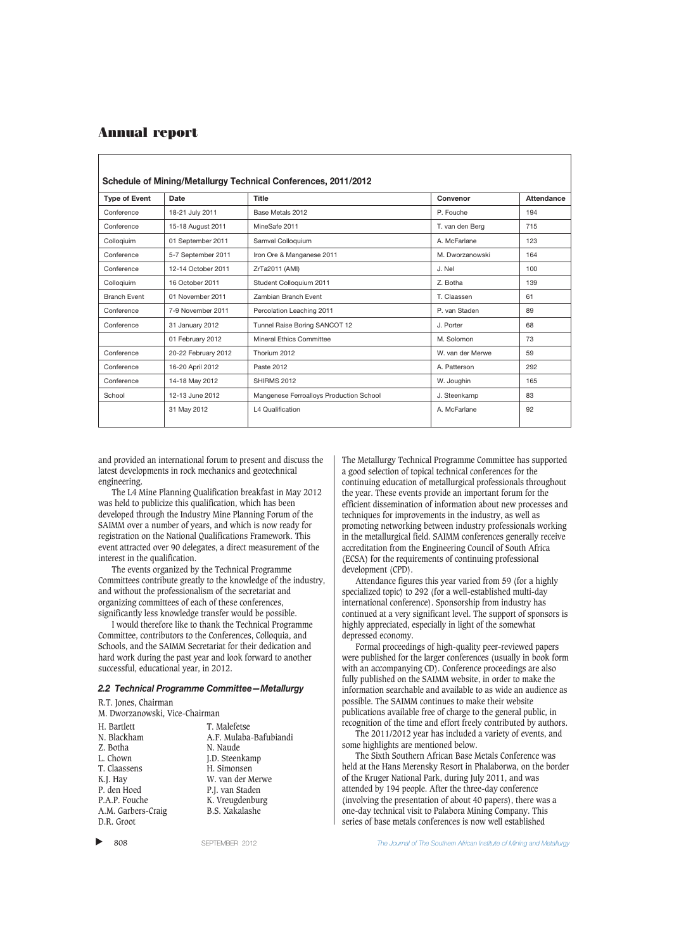| Schedule of Mining/Metallurgy Technical Conferences, 2011/2012 |                     |                                         |                  |                   |
|----------------------------------------------------------------|---------------------|-----------------------------------------|------------------|-------------------|
| <b>Type of Event</b>                                           | Date                | <b>Title</b>                            | Convenor         | <b>Attendance</b> |
| Conference                                                     | 18-21 July 2011     | Base Metals 2012                        | P. Fouche        | 194               |
| Conference                                                     | 15-18 August 2011   | MineSafe 2011                           | T. van den Berg  | 715               |
| Collogiuim                                                     | 01 September 2011   | Samval Colloquium                       | A. McFarlane     | 123               |
| Conference                                                     | 5-7 September 2011  | Iron Ore & Manganese 2011               | M. Dworzanowski  | 164               |
| Conference                                                     | 12-14 October 2011  | ZrTa2011 (AMI)                          | J. Nel           | 100               |
| Collogiuim                                                     | 16 October 2011     | Student Colloquium 2011                 | Z. Botha         | 139               |
| <b>Branch Event</b>                                            | 01 November 2011    | Zambian Branch Event                    | T. Claassen      | 61                |
| Conference                                                     | 7-9 November 2011   | Percolation Leaching 2011               | P. van Staden    | 89                |
| Conference                                                     | 31 January 2012     | Tunnel Raise Boring SANCOT 12           | J. Porter        | 68                |
|                                                                | 01 February 2012    | <b>Mineral Ethics Committee</b>         | M. Solomon       | 73                |
| Conference                                                     | 20-22 February 2012 | Thorium 2012                            | W. van der Merwe | 59                |
| Conference                                                     | 16-20 April 2012    | Paste 2012                              | A. Patterson     | 292               |
| Conference                                                     | 14-18 May 2012      | SHIRMS 2012                             | W. Joughin       | 165               |
| School                                                         | 12-13 June 2012     | Mangenese Ferroalloys Production School | J. Steenkamp     | 83                |
|                                                                | 31 May 2012         | L4 Qualification                        | A. McFarlane     | 92                |

and provided an international forum to present and discuss the latest developments in rock mechanics and geotechnical engineering.

The L4 Mine Planning Qualification breakfast in May 2012 was held to publicize this qualification, which has been developed through the Industry Mine Planning Forum of the SAIMM over a number of years, and which is now ready for registration on the National Qualifications Framework. This event attracted over 90 delegates, a direct measurement of the interest in the qualification.

The events organized by the Technical Programme Committees contribute greatly to the knowledge of the industry, and without the professionalism of the secretariat and organizing committees of each of these conferences, significantly less knowledge transfer would be possible.

I would therefore like to thank the Technical Programme Committee, contributors to the Conferences, Colloquia, and Schools, and the SAIMM Secretariat for their dedication and hard work during the past year and look forward to another successful, educational year, in 2012.

#### *2.2 Technical Programme Committee—Metallurgy*

R.T. Jones, Chairman

| H. Bartlett        | T. Malefetse           |
|--------------------|------------------------|
| N. Blackham        | A.F. Mulaba-Bafubiandi |
| Z. Botha           | N. Naude               |
| L. Chown           | J.D. Steenkamp         |
| T. Claassens       | H. Simonsen            |
| K.J. Hay           | W. van der Merwe       |
| P. den Hoed        | P.J. van Staden        |
| P.A.P. Fouche      | K. Vreugdenburg        |
| A.M. Garbers-Craig | <b>B.S. Xakalashe</b>  |
| D.R. Groot         |                        |

▲

The Metallurgy Technical Programme Committee has supported a good selection of topical technical conferences for the continuing education of metallurgical professionals throughout the year. These events provide an important forum for the efficient dissemination of information about new processes and techniques for improvements in the industry, as well as promoting networking between industry professionals working in the metallurgical field. SAIMM conferences generally receive accreditation from the Engineering Council of South Africa (ECSA) for the requirements of continuing professional development (CPD).

Attendance figures this year varied from 59 (for a highly specialized topic) to 292 (for a well-established multi-day international conference). Sponsorship from industry has continued at a very significant level. The support of sponsors is highly appreciated, especially in light of the somewhat depressed economy.

Formal proceedings of high-quality peer-reviewed papers were published for the larger conferences (usually in book form with an accompanying CD). Conference proceedings are also fully published on the SAIMM website, in order to make the information searchable and available to as wide an audience as possible. The SAIMM continues to make their website publications available free of charge to the general public, in recognition of the time and effort freely contributed by authors.

The 2011/2012 year has included a variety of events, and some highlights are mentioned below.

The Sixth Southern African Base Metals Conference was held at the Hans Merensky Resort in Phalaborwa, on the border of the Kruger National Park, during July 2011, and was attended by 194 people. After the three-day conference (involving the presentation of about 40 papers), there was a one-day technical visit to Palabora Mining Company. This series of base metals conferences is now well established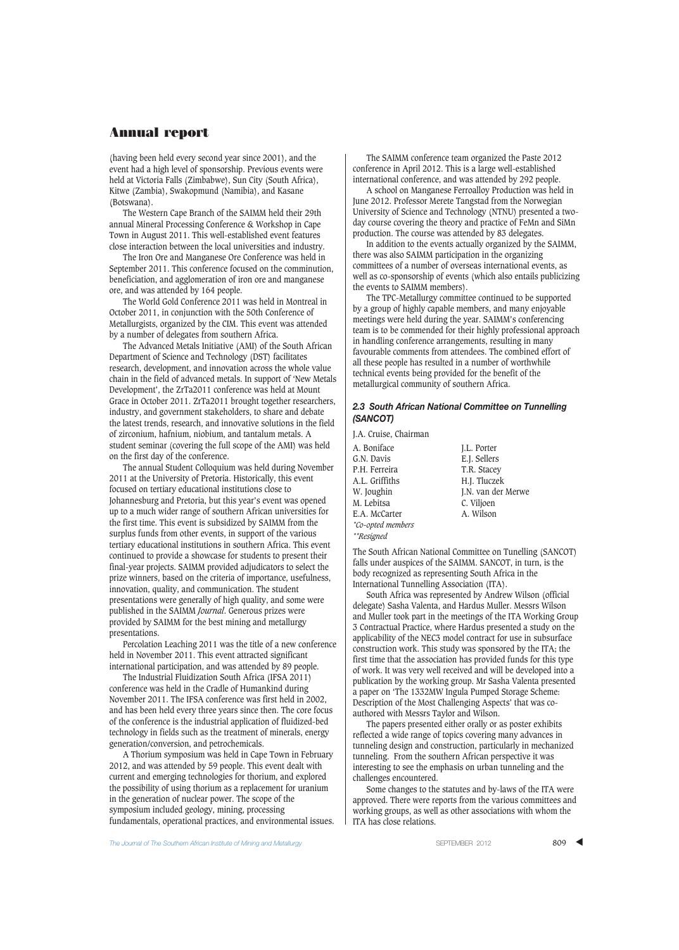(having been held every second year since 2001), and the event had a high level of sponsorship. Previous events were held at Victoria Falls (Zimbabwe), Sun City (South Africa), Kitwe (Zambia), Swakopmund (Namibia), and Kasane (Botswana).

The Western Cape Branch of the SAIMM held their 29th annual Mineral Processing Conference & Workshop in Cape Town in August 2011. This well-established event features close interaction between the local universities and industry.

The Iron Ore and Manganese Ore Conference was held in September 2011. This conference focused on the comminution, beneficiation, and agglomeration of iron ore and manganese ore, and was attended by 164 people.

The World Gold Conference 2011 was held in Montreal in October 2011, in conjunction with the 50th Conference of Metallurgists, organized by the CIM. This event was attended by a number of delegates from southern Africa.

The Advanced Metals Initiative (AMI) of the South African Department of Science and Technology (DST) facilitates research, development, and innovation across the whole value chain in the field of advanced metals. In support of 'New Metals Development', the ZrTa2011 conference was held at Mount Grace in October 2011. ZrTa2011 brought together researchers, industry, and government stakeholders, to share and debate the latest trends, research, and innovative solutions in the field of zirconium, hafnium, niobium, and tantalum metals. A student seminar (covering the full scope of the AMI) was held on the first day of the conference.

The annual Student Colloquium was held during November 2011 at the University of Pretoria. Historically, this event focused on tertiary educational institutions close to Johannesburg and Pretoria, but this year's event was opened up to a much wider range of southern African universities for the first time. This event is subsidized by SAIMM from the surplus funds from other events, in support of the various tertiary educational institutions in southern Africa. This event continued to provide a showcase for students to present their final-year projects. SAIMM provided adjudicators to select the prize winners, based on the criteria of importance, usefulness, innovation, quality, and communication. The student presentations were generally of high quality, and some were published in the SAIMM *Journal*. Generous prizes were provided by SAIMM for the best mining and metallurgy presentations.

Percolation Leaching 2011 was the title of a new conference held in November 2011. This event attracted significant international participation, and was attended by 89 people.

The Industrial Fluidization South Africa (IFSA 2011) conference was held in the Cradle of Humankind during November 2011. The IFSA conference was first held in 2002, and has been held every three years since then. The core focus of the conference is the industrial application of fluidized-bed technology in fields such as the treatment of minerals, energy generation/conversion, and petrochemicals.

A Thorium symposium was held in Cape Town in February 2012, and was attended by 59 people. This event dealt with current and emerging technologies for thorium, and explored the possibility of using thorium as a replacement for uranium in the generation of nuclear power. The scope of the symposium included geology, mining, processing fundamentals, operational practices, and environmental issues.

The SAIMM conference team organized the Paste 2012 conference in April 2012. This is a large well-established international conference, and was attended by 292 people.

A school on Manganese Ferroalloy Production was held in June 2012. Professor Merete Tangstad from the Norwegian University of Science and Technology (NTNU) presented a twoday course covering the theory and practice of FeMn and SiMn production. The course was attended by 83 delegates.

In addition to the events actually organized by the SAIMM, there was also SAIMM participation in the organizing committees of a number of overseas international events, as well as co-sponsorship of events (which also entails publicizing the events to SAIMM members).

The TPC-Metallurgy committee continued to be supported by a group of highly capable members, and many enjoyable meetings were held during the year. SAIMM's conferencing team is to be commended for their highly professional approach in handling conference arrangements, resulting in many favourable comments from attendees. The combined effort of all these people has resulted in a number of worthwhile technical events being provided for the benefit of the metallurgical community of southern Africa.

#### *2.3 South African National Committee on Tunnelling (SANCOT)*

J.A. Cruise, Chairman A. Boniface J.L. Porter<br>
G.N. Davis E.I. Sellers G.N. Davis<br>
P.H. Ferreira<br>
T.R. Stacev A.L. Griffiths H.J. Tluczek<br>W. Joughin J.N. van der M. Lebitsa C. Viljoen E.A. McCarter *\*Co-opted members*

*\*\*Resigned*

T.R. Stacey J.N. van der Merwe

The South African National Committee on Tunelling (SANCOT) falls under auspices of the SAIMM. SANCOT, in turn, is the body recognized as representing South Africa in the International Tunnelling Association (ITA).

South Africa was represented by Andrew Wilson (official delegate) Sasha Valenta, and Hardus Muller. Messrs Wilson and Muller took part in the meetings of the ITA Working Group 3 Contractual Practice, where Hardus presented a study on the applicability of the NEC3 model contract for use in subsurface construction work. This study was sponsored by the ITA; the first time that the association has provided funds for this type of work. It was very well received and will be developed into a publication by the working group. Mr Sasha Valenta presented a paper on 'The 1332MW Ingula Pumped Storage Scheme: Description of the Most Challenging Aspects' that was coauthored with Messrs Taylor and Wilson.

The papers presented either orally or as poster exhibits reflected a wide range of topics covering many advances in tunneling design and construction, particularly in mechanized tunneling. From the southern African perspective it was interesting to see the emphasis on urban tunneling and the challenges encountered.

Some changes to the statutes and by-laws of the ITA were approved. There were reports from the various committees and working groups, as well as other associations with whom the ITA has close relations.

**The Journal of The Southern African Institute of Mining and Metallurgy September 2012** SEPTEMBER 2012 **809**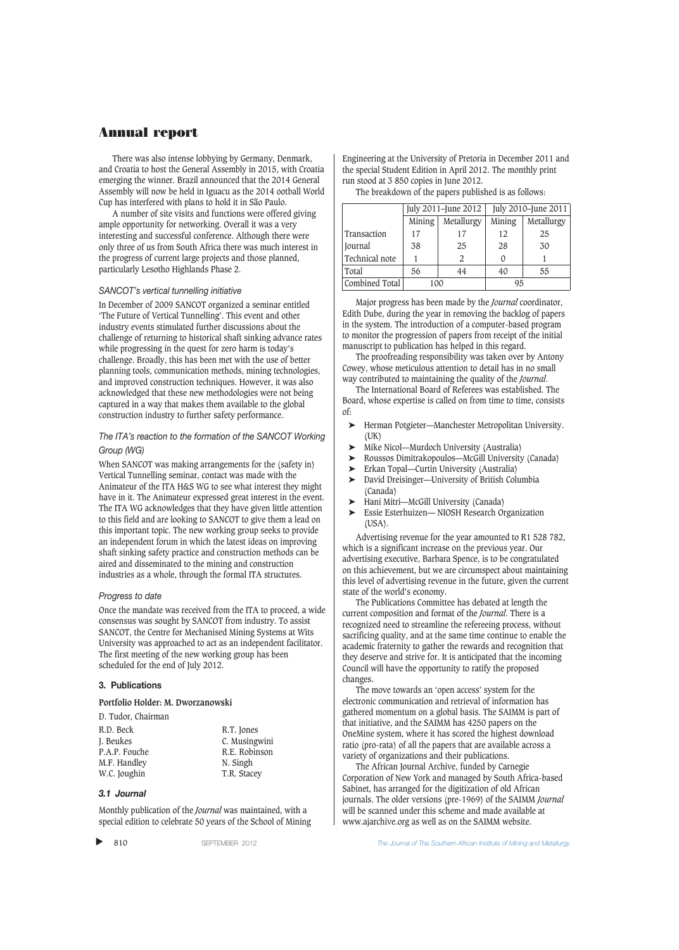There was also intense lobbying by Germany, Denmark, and Croatia to host the General Assembly in 2015, with Croatia emerging the winner. Brazil announced that the 2014 General Assembly will now be held in Iguacu as the 2014 ootball World Cup has interfered with plans to hold it in São Paulo.

A number of site visits and functions were offered giving ample opportunity for networking. Overall it was a very interesting and successful conference. Although there were only three of us from South Africa there was much interest in the progress of current large projects and those planned, particularly Lesotho Highlands Phase 2.

#### *SANCOT's vertical tunnelling initiative*

In December of 2009 SANCOT organized a seminar entitled 'The Future of Vertical Tunnelling'. This event and other industry events stimulated further discussions about the challenge of returning to historical shaft sinking advance rates while progressing in the quest for zero harm is today's challenge. Broadly, this has been met with the use of better planning tools, communication methods, mining technologies, and improved construction techniques. However, it was also acknowledged that these new methodologies were not being captured in a way that makes them available to the global construction industry to further safety performance.

## *The ITA's reaction to the formation of the SANCOT Working Group (WG)*

When SANCOT was making arrangements for the (safety in) Vertical Tunnelling seminar, contact was made with the Animateur of the ITA H&S WG to see what interest they might have in it. The Animateur expressed great interest in the event. The ITA WG acknowledges that they have given little attention to this field and are looking to SANCOT to give them a lead on this important topic. The new working group seeks to provide an independent forum in which the latest ideas on improving shaft sinking safety practice and construction methods can be aired and disseminated to the mining and construction industries as a whole, through the formal ITA structures.

#### *Progress to date*

Once the mandate was received from the ITA to proceed, a wide consensus was sought by SANCOT from industry. To assist SANCOT, the Centre for Mechanised Mining Systems at Wits University was approached to act as an independent facilitator. The first meeting of the new working group has been scheduled for the end of July 2012.

#### **3. Publications**

**Portfolio Holder: M. Dworzanowski**

| R.D. Beck     | R.T. Jones    |
|---------------|---------------|
| J. Beukes     | C. Musingwini |
| P.A.P. Fouche | R.E. Robinson |
| M.F. Handley  | N. Singh      |
| W.C. Joughin  | T.R. Stacey   |

### *3.1 Journal*

Monthly publication of the *Journal* was maintained, with a special edition to celebrate 50 years of the School of Mining

 $\blacktriangleright$ 

Engineering at the University of Pretoria in December 2011 and the special Student Edition in April 2012. The monthly print run stood at 3 850 copies in June 2012.

The breakdown of the papers published is as follows:

|                | July 2011-June 2012 |               | July 2010-June 2011 |            |
|----------------|---------------------|---------------|---------------------|------------|
|                | Mining              | Metallurgy    | Mining              | Metallurgy |
| Transaction    | 17                  | 17            | 12                  | 25         |
| Journal        | 38                  | 25            | 28                  | 30         |
| Technical note |                     | $\mathcal{L}$ |                     |            |
| Total          | 56                  | 44            | 40                  | 55         |
| Combined Total | 100                 |               | 95                  |            |

Major progress has been made by the *Journal* coordinator, Edith Dube, during the year in removing the backlog of papers in the system. The introduction of a computer-based program to monitor the progression of papers from receipt of the initial manuscript to publication has helped in this regard.

The proofreading responsibility was taken over by Antony Cowey, whose meticulous attention to detail has in no small way contributed to maintaining the quality of the *Journal*.

The International Board of Referees was established. The Board, whose expertise is called on from time to time, consists of:

- ➤ Herman Potgieter—Manchester Metropolitan University. (UK)
- ➤ Mike Nicol—Murdoch University (Australia)
- ➤ Roussos Dimitrakopoulos—McGill University (Canada)
- ➤ Erkan Topal—Curtin University (Australia)
- ➤ David Dreisinger—University of British Columbia (Canada)
- ► Hani Mitri—McGill University (Canada)<br>► Essie Esterbuizen— NIOSH Research Or
- ➤ Essie Esterhuizen— NIOSH Research Organization (USA).

Advertising revenue for the year amounted to R1 528 782, which is a significant increase on the previous year. Our advertising executive, Barbara Spence, is to be congratulated on this achievement, but we are circumspect about maintaining this level of advertising revenue in the future, given the current state of the world's economy.

The Publications Committee has debated at length the current composition and format of the *Journal*. There is a recognized need to streamline the refereeing process, without sacrificing quality, and at the same time continue to enable the academic fraternity to gather the rewards and recognition that they deserve and strive for. It is anticipated that the incoming Council will have the opportunity to ratify the proposed changes.

The move towards an 'open access' system for the electronic communication and retrieval of information has gathered momentum on a global basis. The SAIMM is part of that initiative, and the SAIMM has 4250 papers on the OneMine system, where it has scored the highest download ratio (pro-rata) of all the papers that are available across a variety of organizations and their publications.

The African Journal Archive, funded by Carnegie Corporation of New York and managed by South Africa-based Sabinet, has arranged for the digitization of old African journals. The older versions (pre-1969) of the SAIMM *Journal* will be scanned under this scheme and made available at www.ajarchive.org as well as on the SAIMM website.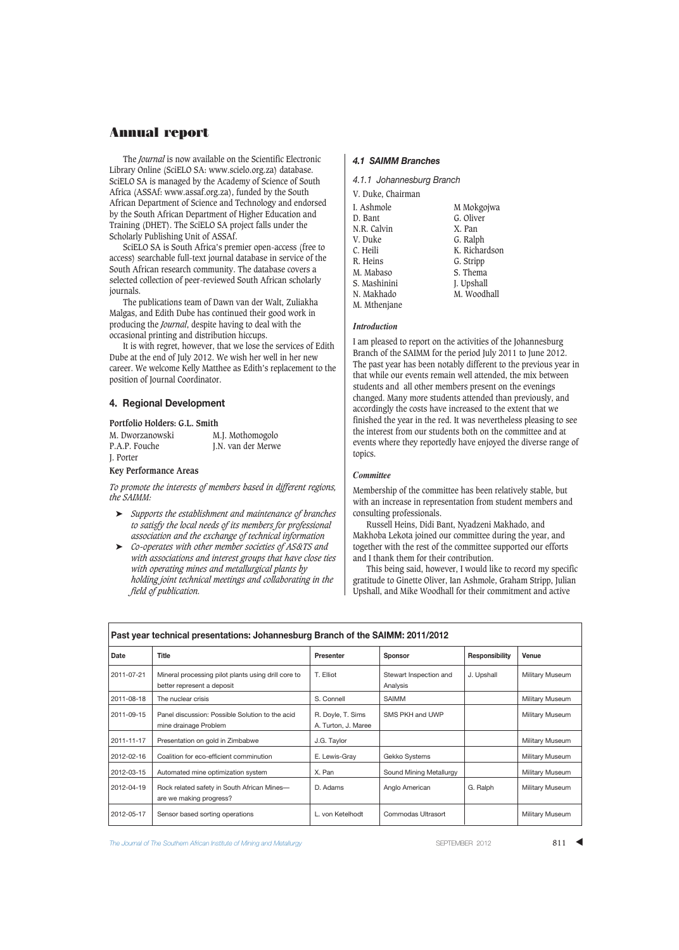The *Journal* is now available on the Scientific Electronic Library Online (SciELO SA: www.scielo.org.za) database. SciELO SA is managed by the Academy of Science of South Africa (ASSAf: www.assaf.org.za), funded by the South African Department of Science and Technology and endorsed by the South African Department of Higher Education and Training (DHET). The SciELO SA project falls under the Scholarly Publishing Unit of ASSAf.

SciELO SA is South Africa's premier open-access (free to access) searchable full-text journal database in service of the South African research community. The database covers a selected collection of peer-reviewed South African scholarly journals.

The publications team of Dawn van der Walt, Zuliakha Malgas, and Edith Dube has continued their good work in producing the *Journal*, despite having to deal with the occasional printing and distribution hiccups.

It is with regret, however, that we lose the services of Edith Dube at the end of July 2012. We wish her well in her new career. We welcome Kelly Matthee as Edith's replacement to the position of Journal Coordinator.

## **4. Regional Development**

#### **Portfolio Holders: G.L. Smith**

M. Dworzanowski M.J. Mothomogolo<br>P.A.P. Fouche J.N. van der Merwe J. Porter

**Key Performance Areas**

*To promote the interests of members based in different regions, the SAIMM:*

J.N. van der Merwe

- ➤ *Supports the establishment and maintenance of branches to satisfy the local needs of its members for professional association and the exchange of technical information*
- ➤ *Co-operates with other member societies of AS&TS and with associations and interest groups that have close ties with operating mines and metallurgical plants by holding joint technical meetings and collaborating in the field of publication.*

#### *4.1 SAIMM Branches*

*4.1.1 Johannesburg Branch*

| V. Duke, Chairman |               |
|-------------------|---------------|
| I. Ashmole        | M Mokgojwa    |
| D. Bant           | G. Oliver     |
| N.R. Calvin       | X. Pan        |
| V. Duke           | G. Ralph      |
| C. Heili          | K. Richardson |
| R. Heins          | G. Stripp     |
| M. Mabaso         | S. Thema      |
| S. Mashinini      | J. Upshall    |
| N. Makhado        | M. Woodhall   |
| M. Mthenjane      |               |

#### *Introduction*

I am pleased to report on the activities of the Johannesburg Branch of the SAIMM for the period July 2011 to June 2012. The past year has been notably different to the previous year in that while our events remain well attended, the mix between students and all other members present on the evenings changed. Many more students attended than previously, and accordingly the costs have increased to the extent that we finished the year in the red. It was nevertheless pleasing to see the interest from our students both on the committee and at events where they reportedly have enjoyed the diverse range of topics.

## *Committee*

Membership of the committee has been relatively stable, but with an increase in representation from student members and consulting professionals.

Russell Heins, Didi Bant, Nyadzeni Makhado, and Makhoba Lekota joined our committee during the year, and together with the rest of the committee supported our efforts and I thank them for their contribution.

This being said, however, I would like to record my specific gratitude to Ginette Oliver, Ian Ashmole, Graham Stripp, Julian Upshall, and Mike Woodhall for their commitment and active

| Past year technical presentations: Johannesburg Branch of the SAIMM: 2011/2012 |                                                                                   |                                          |                                    |                |                        |
|--------------------------------------------------------------------------------|-----------------------------------------------------------------------------------|------------------------------------------|------------------------------------|----------------|------------------------|
| Date                                                                           | Title                                                                             | Presenter                                | <b>Sponsor</b>                     | Responsibility | Venue                  |
| 2011-07-21                                                                     | Mineral processing pilot plants using drill core to<br>better represent a deposit | T. Elliot                                | Stewart Inspection and<br>Analysis | J. Upshall     | Military Museum        |
| 2011-08-18                                                                     | The nuclear crisis                                                                | S. Connell                               | SAIMM                              |                | Military Museum        |
| 2011-09-15                                                                     | Panel discussion: Possible Solution to the acid<br>mine drainage Problem          | R. Doyle, T. Sims<br>A. Turton, J. Maree | SMS PKH and UWP                    |                | <b>Military Museum</b> |
| 2011-11-17                                                                     | Presentation on gold in Zimbabwe                                                  | J.G. Taylor                              |                                    |                | <b>Military Museum</b> |
| 2012-02-16                                                                     | Coalition for eco-efficient comminution                                           | E. Lewis-Gray                            | Gekko Systems                      |                | Military Museum        |
| 2012-03-15                                                                     | Automated mine optimization system                                                | X. Pan                                   | Sound Mining Metallurgy            |                | Military Museum        |
| 2012-04-19                                                                     | Rock related safety in South African Mines-<br>are we making progress?            | D. Adams                                 | Anglo American                     | G. Ralph       | Military Museum        |
| 2012-05-17                                                                     | Sensor based sorting operations                                                   | L. von Ketelhodt                         | Commodas Ultrasort                 |                | Military Museum        |

**The Journal of The Southern African Institute of Mining and Metallurgy Server SEPTEMBER 2012** 811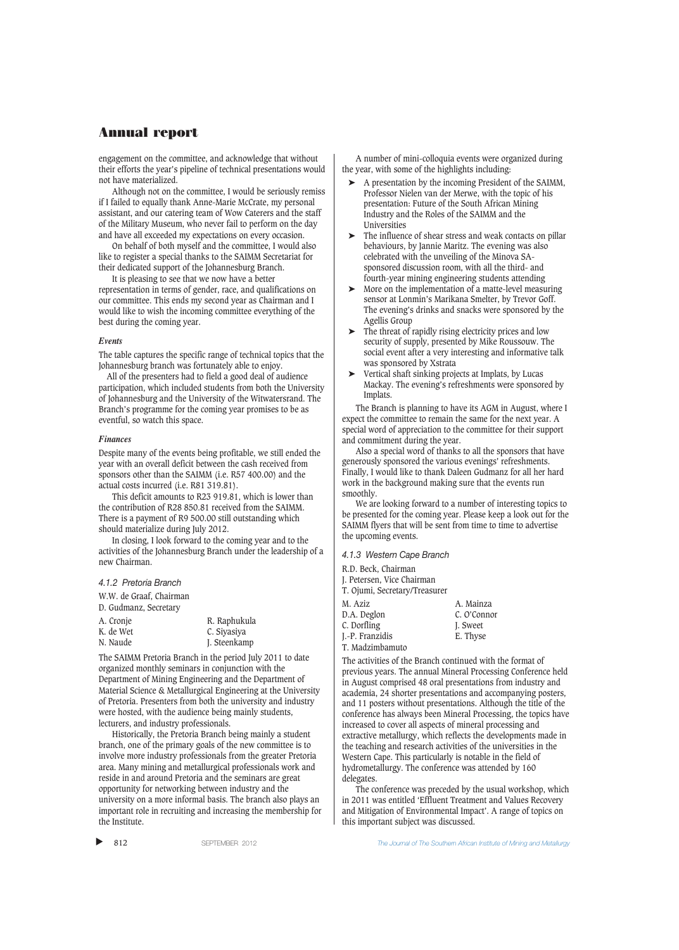engagement on the committee, and acknowledge that without their efforts the year's pipeline of technical presentations would not have materialized.

Although not on the committee, I would be seriously remiss if I failed to equally thank Anne-Marie McCrate, my personal assistant, and our catering team of Wow Caterers and the staff of the Military Museum, who never fail to perform on the day and have all exceeded my expectations on every occasion.

On behalf of both myself and the committee, I would also like to register a special thanks to the SAIMM Secretariat for their dedicated support of the Johannesburg Branch.

It is pleasing to see that we now have a better representation in terms of gender, race, and qualifications on our committee. This ends my second year as Chairman and I would like to wish the incoming committee everything of the best during the coming year.

#### *Events*

The table captures the specific range of technical topics that the Johannesburg branch was fortunately able to enjoy.

All of the presenters had to field a good deal of audience participation, which included students from both the University of Johannesburg and the University of the Witwatersrand. The Branch's programme for the coming year promises to be as eventful, so watch this space.

#### *Finances*

Despite many of the events being profitable, we still ended the year with an overall deficit between the cash received from sponsors other than the SAIMM (i.e. R57 400.00) and the actual costs incurred (i.e. R81 319.81).

This deficit amounts to R23 919.81, which is lower than the contribution of R28 850.81 received from the SAIMM. There is a payment of R9 500.00 still outstanding which should materialize during July 2012.

In closing, I look forward to the coming year and to the activities of the Johannesburg Branch under the leadership of a new Chairman.

*4.1.2 Pretoria Branch*

W.W. de Graaf, Chairman

| R. Raphukula |
|--------------|
| C. Siyasiya  |
| J. Steenkamp |
|              |

The SAIMM Pretoria Branch in the period July 2011 to date organized monthly seminars in conjunction with the Department of Mining Engineering and the Department of Material Science & Metallurgical Engineering at the University of Pretoria. Presenters from both the university and industry were hosted, with the audience being mainly students, lecturers, and industry professionals.

Historically, the Pretoria Branch being mainly a student branch, one of the primary goals of the new committee is to involve more industry professionals from the greater Pretoria area. Many mining and metallurgical professionals work and reside in and around Pretoria and the seminars are great opportunity for networking between industry and the university on a more informal basis. The branch also plays an important role in recruiting and increasing the membership for the Institute.

 $\blacktriangleright$ 

A number of mini-colloquia events were organized during the year, with some of the highlights including:

- ➤ A presentation by the incoming President of the SAIMM, Professor Nielen van der Merwe, with the topic of his presentation: Future of the South African Mining Industry and the Roles of the SAIMM and the Universities
- ➤ The influence of shear stress and weak contacts on pillar behaviours, by Jannie Maritz. The evening was also celebrated with the unveiling of the Minova SAsponsored discussion room, with all the third- and fourth-year mining engineering students attending
- ➤ More on the implementation of a matte-level measuring sensor at Lonmin's Marikana Smelter, by Trevor Goff. The evening's drinks and snacks were sponsored by the Agellis Group
- ➤ The threat of rapidly rising electricity prices and low security of supply, presented by Mike Roussouw. The social event after a very interesting and informative talk was sponsored by Xstrata
- ➤ Vertical shaft sinking projects at Implats, by Lucas Mackay. The evening's refreshments were sponsored by Implats.

The Branch is planning to have its AGM in August, where I expect the committee to remain the same for the next year. A special word of appreciation to the committee for their support and commitment during the year.

Also a special word of thanks to all the sponsors that have generously sponsored the various evenings' refreshments. Finally, I would like to thank Daleen Gudmanz for all her hard work in the background making sure that the events run smoothly.

We are looking forward to a number of interesting topics to be presented for the coming year. Please keep a look out for the SAIMM flyers that will be sent from time to time to advertise the upcoming events.

*4.1.3 Western Cape Branch*

|  | R.D. Beck, Chairman |
|--|---------------------|
|  |                     |

J. Petersen, Vice Chairman

| T. Ojumi, Secretary/Treasurer      |             |
|------------------------------------|-------------|
| M. Aziz                            | A. Mainza   |
| D.A. Deglon                        | C. O'Connor |
| C. Dorfling                        | I. Sweet    |
| J.-P. Franzidis                    | E. Thyse    |
| <b>PRIVATE STATE LA PRODUCTION</b> |             |

T. Madzimbamuto The activities of the Branch continued with the format of

previous years. The annual Mineral Processing Conference held in August comprised 48 oral presentations from industry and academia, 24 shorter presentations and accompanying posters, and 11 posters without presentations. Although the title of the conference has always been Mineral Processing, the topics have increased to cover all aspects of mineral processing and extractive metallurgy, which reflects the developments made in the teaching and research activities of the universities in the Western Cape. This particularly is notable in the field of hydrometallurgy. The conference was attended by 160 delegates.

The conference was preceded by the usual workshop, which in 2011 was entitled 'Effluent Treatment and Values Recovery and Mitigation of Environmental Impact'. A range of topics on this important subject was discussed.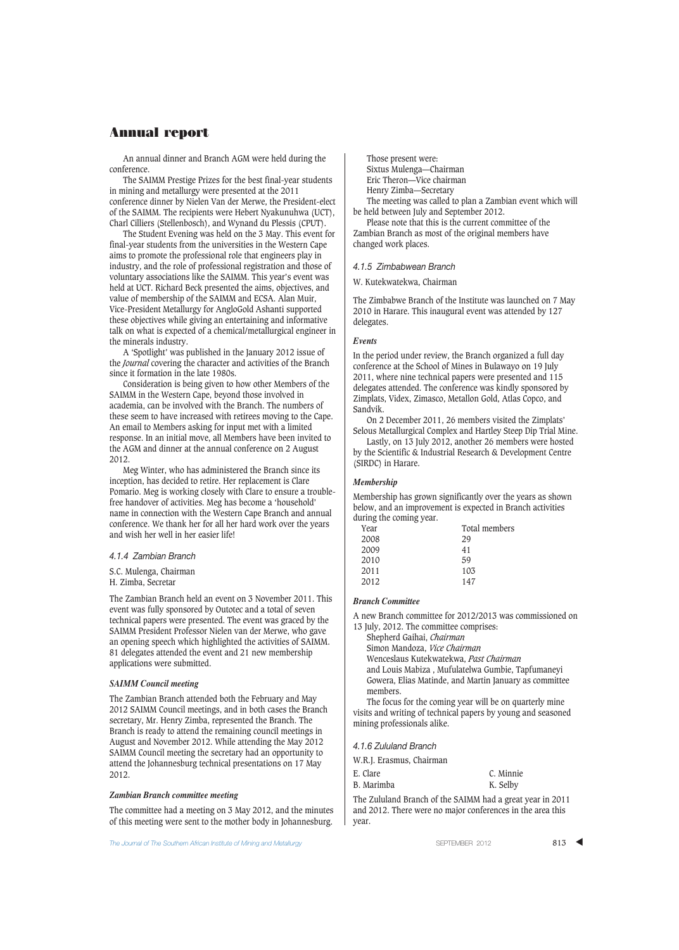An annual dinner and Branch AGM were held during the conference.

The SAIMM Prestige Prizes for the best final-year students in mining and metallurgy were presented at the 2011 conference dinner by Nielen Van der Merwe, the President-elect of the SAIMM. The recipients were Hebert Nyakunuhwa (UCT), Charl Cilliers (Stellenbosch), and Wynand du Plessis (CPUT).

The Student Evening was held on the 3 May. This event for final-year students from the universities in the Western Cape aims to promote the professional role that engineers play in industry, and the role of professional registration and those of voluntary associations like the SAIMM. This year's event was held at UCT. Richard Beck presented the aims, objectives, and value of membership of the SAIMM and ECSA. Alan Muir, Vice-President Metallurgy for AngloGold Ashanti supported these objectives while giving an entertaining and informative talk on what is expected of a chemical/metallurgical engineer in the minerals industry.

A 'Spotlight' was published in the January 2012 issue of the *Journal* covering the character and activities of the Branch since it formation in the late 1980s.

Consideration is being given to how other Members of the SAIMM in the Western Cape, beyond those involved in academia, can be involved with the Branch. The numbers of these seem to have increased with retirees moving to the Cape. An email to Members asking for input met with a limited response. In an initial move, all Members have been invited to the AGM and dinner at the annual conference on 2 August 2012.

Meg Winter, who has administered the Branch since its inception, has decided to retire. Her replacement is Clare Pomario. Meg is working closely with Clare to ensure a troublefree handover of activities. Meg has become a 'household' name in connection with the Western Cape Branch and annual conference. We thank her for all her hard work over the years and wish her well in her easier life!

#### *4.1.4 Zambian Branch*

S.C. Mulenga, Chairman

#### H. Zimba, Secretar

The Zambian Branch held an event on 3 November 2011. This event was fully sponsored by Outotec and a total of seven technical papers were presented. The event was graced by the SAIMM President Professor Nielen van der Merwe, who gave an opening speech which highlighted the activities of SAIMM. 81 delegates attended the event and 21 new membership applications were submitted.

#### *SAIMM Council meeting*

The Zambian Branch attended both the February and May 2012 SAIMM Council meetings, and in both cases the Branch secretary, Mr. Henry Zimba, represented the Branch. The Branch is ready to attend the remaining council meetings in August and November 2012. While attending the May 2012 SAIMM Council meeting the secretary had an opportunity to attend the Johannesburg technical presentations on 17 May 2012.

#### *Zambian Branch committee meeting*

The committee had a meeting on 3 May 2012, and the minutes of this meeting were sent to the mother body in Johannesburg.

The Journal of The Southern African Institute of Mining and Metallurgy **SEPTEMBER 2012** 813 ▲ SEPTEMBER 2012

Those present were: Sixtus Mulenga—Chairman

Eric Theron—Vice chairman Henry Zimba—Secretary

The meeting was called to plan a Zambian event which will be held between July and September 2012.

Please note that this is the current committee of the Zambian Branch as most of the original members have changed work places.

#### *4.1.5 Zimbabwean Branch*

W. Kutekwatekwa, Chairman

The Zimbabwe Branch of the Institute was launched on 7 May 2010 in Harare. This inaugural event was attended by 127 delegates.

#### *Events*

In the period under review, the Branch organized a full day conference at the School of Mines in Bulawayo on 19 July 2011, where nine technical papers were presented and 115 delegates attended. The conference was kindly sponsored by Zimplats, Videx, Zimasco, Metallon Gold, Atlas Copco, and Sandvik.

On 2 December 2011, 26 members visited the Zimplats' Selous Metallurgical Complex and Hartley Steep Dip Trial Mine.

Lastly, on 13 July 2012, another 26 members were hosted by the Scientific & Industrial Research & Development Centre (SIRDC) in Harare.

#### *Membership*

Membership has grown significantly over the years as shown below, and an improvement is expected in Branch activities during the coming year.

| Year | Total members |
|------|---------------|
| 2008 | 29            |
| 2009 | 41            |
| 2010 | 59            |
| 2011 | 103           |
| 2012 | 147           |
|      |               |

## *Branch Committee*

A new Branch committee for 2012/2013 was commissioned on 13 July, 2012. The committee comprises:

Shepherd Gaihai, *Chairman*

Simon Mandoza, *Vice Chairman*

Wenceslaus Kutekwatekwa, *Past Chairman*

and Louis Mabiza , Mufulatelwa Gumbie, Tapfumaneyi Gowera, Elias Matinde, and Martin January as committee members.

The focus for the coming year will be on quarterly mine visits and writing of technical papers by young and seasoned mining professionals alike.

#### *4.1.6 Zululand Branch*

E. Clare

W.R.J. Erasmus, Chairman

| E. Clare   | C. Minnie |
|------------|-----------|
| B. Marimba | K. Selby  |

The Zululand Branch of the SAIMM had a great year in 2011 and 2012. There were no major conferences in the area this year.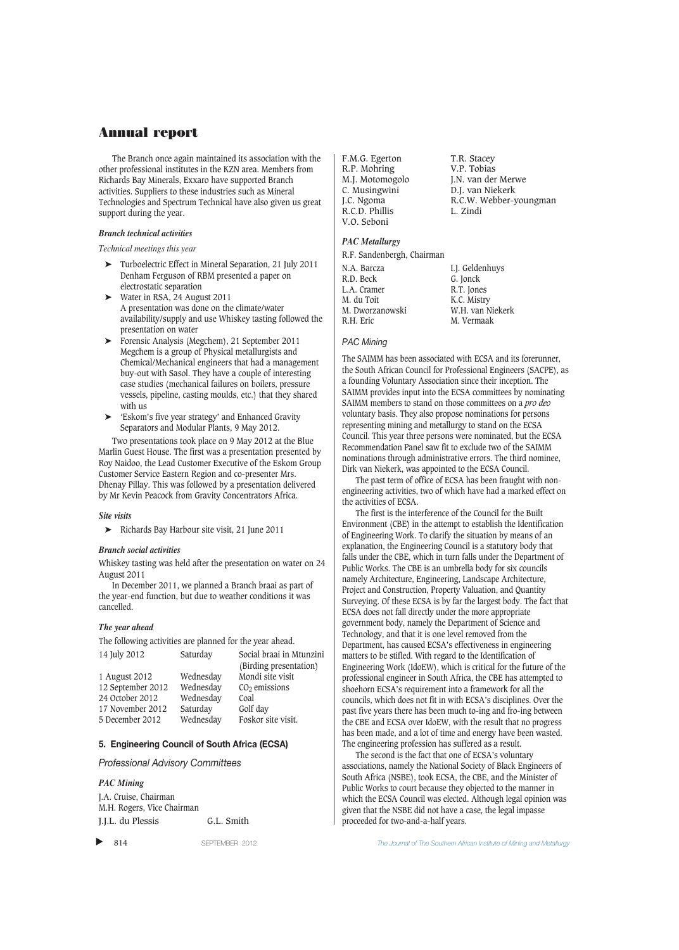The Branch once again maintained its association with the other professional institutes in the KZN area. Members from Richards Bay Minerals, Exxaro have supported Branch activities. Suppliers to these industries such as Mineral Technologies and Spectrum Technical have also given us great support during the year.

## *Branch technical activities*

*Technical meetings this year*

- ➤ Turboelectric Effect in Mineral Separation, 21 July 2011 Denham Ferguson of RBM presented a paper on electrostatic separation
- Water in RSA, 24 August 2011 A presentation was done on the climate/water availability/supply and use Whiskey tasting followed the presentation on water
- ➤ Forensic Analysis (Megchem), 21 September 2011 Megchem is a group of Physical metallurgists and Chemical/Mechanical engineers that had a management buy-out with Sasol. They have a couple of interesting case studies (mechanical failures on boilers, pressure vessels, pipeline, casting moulds, etc.) that they shared with us
- ➤ 'Eskom's five year strategy' and Enhanced Gravity Separators and Modular Plants, 9 May 2012.

Two presentations took place on 9 May 2012 at the Blue Marlin Guest House. The first was a presentation presented by Roy Naidoo, the Lead Customer Executive of the Eskom Group Customer Service Eastern Region and co-presenter Mrs. Dhenay Pillay. This was followed by a presentation delivered by Mr Kevin Peacock from Gravity Concentrators Africa.

### *Site visits*

➤ Richards Bay Harbour site visit, 21 June 2011

### *Branch social activities*

Whiskey tasting was held after the presentation on water on 24 August 2011

In December 2011, we planned a Branch braai as part of the year-end function, but due to weather conditions it was cancelled.

### *The year ahead*

The following activities are planned for the year ahead.

| 14 July 2012      | Saturday  | Social braai in Mtunzini |
|-------------------|-----------|--------------------------|
|                   |           | (Birding presentation)   |
| 1 August 2012     | Wednesday | Mondi site visit         |
| 12 September 2012 | Wednesday | $CO2$ emissions          |
| 24 October 2012   | Wednesday | Coal                     |
| 17 November 2012  | Saturday  | Golf day                 |
| 5 December 2012   | Wednesday | Foskor site visit.       |
|                   |           |                          |

### **5. Engineering Council of South Africa (ECSA)**

*Professional Advisory Committees*

*PAC Mining* J.A. Cruise, Chairman M.H. Rogers, Vice Chairman J.J.L. du Plessis G.L. Smith

F.M.G. Egerton T.R. Stacey<br>R.P. Mohring V.P. Tobias R.P. Mohring<br>M.J. Motomogolo R.C.D. Phillis V.O. Seboni

M.J. Motomogolo J.N. van der Merwe<br>C. Musingwini D.J. van Niekerk D.J. van Niekerk J.C. Ngoma R.C.W. Webber-youngman

## *PAC Metallurgy*

| R.F. Sandenbergh, Chairman |                  |
|----------------------------|------------------|
| N.A. Barcza                | I.J. Geldenhuys  |
| R.D. Beck                  | G. Jonck         |
| L.A. Cramer                | R.T. Jones       |
| M. du Toit                 | K.C. Mistry      |
| M. Dworzanowski            | W.H. van Niekerk |
| R.H. Eric                  | M. Vermaak       |

### *PAC Mining*

The SAIMM has been associated with ECSA and its forerunner, the South African Council for Professional Engineers (SACPE), as a founding Voluntary Association since their inception. The SAIMM provides input into the ECSA committees by nominating SAIMM members to stand on those committees on a *pro deo* voluntary basis. They also propose nominations for persons representing mining and metallurgy to stand on the ECSA Council. This year three persons were nominated, but the ECSA Recommendation Panel saw fit to exclude two of the SAIMM nominations through administrative errors. The third nominee, Dirk van Niekerk, was appointed to the ECSA Council.

The past term of office of ECSA has been fraught with nonengineering activities, two of which have had a marked effect on the activities of ECSA.

The first is the interference of the Council for the Built Environment (CBE) in the attempt to establish the Identification of Engineering Work. To clarify the situation by means of an explanation, the Engineering Council is a statutory body that falls under the CBE, which in turn falls under the Department of Public Works. The CBE is an umbrella body for six councils namely Architecture, Engineering, Landscape Architecture, Project and Construction, Property Valuation, and Quantity Surveying. Of these ECSA is by far the largest body. The fact that ECSA does not fall directly under the more appropriate government body, namely the Department of Science and Technology, and that it is one level removed from the Department, has caused ECSA's effectiveness in engineering matters to be stifled. With regard to the Identification of Engineering Work (IdoEW), which is critical for the future of the professional engineer in South Africa, the CBE has attempted to shoehorn ECSA's requirement into a framework for all the councils, which does not fit in with ECSA's disciplines. Over the past five years there has been much to-ing and fro-ing between the CBE and ECSA over IdoEW, with the result that no progress has been made, and a lot of time and energy have been wasted. The engineering profession has suffered as a result.

The second is the fact that one of ECSA's voluntary associations, namely the National Society of Black Engineers of South Africa (NSBE), took ECSA, the CBE, and the Minister of Public Works to court because they objected to the manner in which the ECSA Council was elected. Although legal opinion was given that the NSBE did not have a case, the legal impasse proceeded for two-and-a-half years.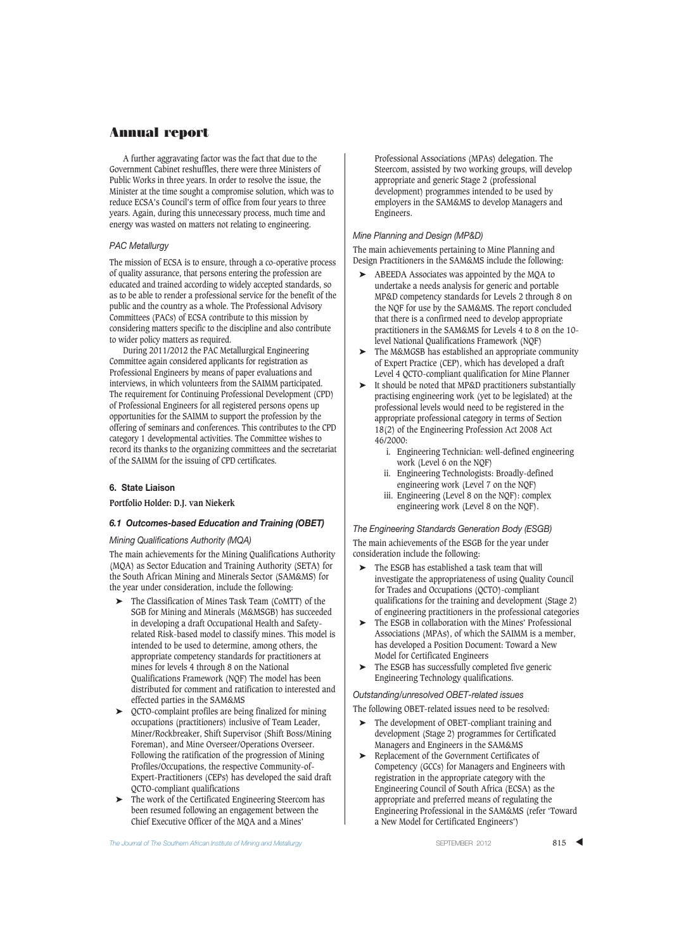A further aggravating factor was the fact that due to the Government Cabinet reshuffles, there were three Ministers of Public Works in three years. In order to resolve the issue, the Minister at the time sought a compromise solution, which was to reduce ECSA's Council's term of office from four years to three years. Again, during this unnecessary process, much time and energy was wasted on matters not relating to engineering.

### *PAC Metallurgy*

The mission of ECSA is to ensure, through a co-operative process of quality assurance, that persons entering the profession are educated and trained according to widely accepted standards, so as to be able to render a professional service for the benefit of the public and the country as a whole. The Professional Advisory Committees (PACs) of ECSA contribute to this mission by considering matters specific to the discipline and also contribute to wider policy matters as required.

During 2011/2012 the PAC Metallurgical Engineering Committee again considered applicants for registration as Professional Engineers by means of paper evaluations and interviews, in which volunteers from the SAIMM participated. The requirement for Continuing Professional Development (CPD) of Professional Engineers for all registered persons opens up opportunities for the SAIMM to support the profession by the offering of seminars and conferences. This contributes to the CPD category 1 developmental activities. The Committee wishes to record its thanks to the organizing committees and the secretariat of the SAIMM for the issuing of CPD certificates.

#### **6. State Liaison**

**Portfolio Holder: D.J. van Niekerk**

### *6.1 Outcomes-based Education and Training (OBET)*

#### *Mining Qualifications Authority (MQA)*

The main achievements for the Mining Qualifications Authority (MQA) as Sector Education and Training Authority (SETA) for the South African Mining and Minerals Sector (SAM&MS) for the year under consideration, include the following:

- ➤ The Classification of Mines Task Team (CoMTT) of the SGB for Mining and Minerals (M&MSGB) has succeeded in developing a draft Occupational Health and Safetyrelated Risk-based model to classify mines. This model is intended to be used to determine, among others, the appropriate competency standards for practitioners at mines for levels 4 through 8 on the National Qualifications Framework (NQF) The model has been distributed for comment and ratification to interested and effected parties in the SAM&MS
- ➤ QCTO-complaint profiles are being finalized for mining occupations (practitioners) inclusive of Team Leader, Miner/Rockbreaker, Shift Supervisor (Shift Boss/Mining Foreman), and Mine Overseer/Operations Overseer. Following the ratification of the progression of Mining Profiles/Occupations, the respective Community-of-Expert-Practitioners (CEPs) has developed the said draft QCTO-compliant qualifications
- The work of the Certificated Engineering Steercom has been resumed following an engagement between the Chief Executive Officer of the MQA and a Mines'

Professional Associations (MPAs) delegation. The Steercom, assisted by two working groups, will develop appropriate and generic Stage 2 (professional development) programmes intended to be used by employers in the SAM&MS to develop Managers and Engineers.

#### *Mine Planning and Design (MP&D)*

The main achievements pertaining to Mine Planning and Design Practitioners in the SAM&MS include the following:

- ABEEDA Associates was appointed by the MQA to undertake a needs analysis for generic and portable MP&D competency standards for Levels 2 through 8 on the NQF for use by the SAM&MS. The report concluded that there is a confirmed need to develop appropriate practitioners in the SAM&MS for Levels 4 to 8 on the 10 level National Qualifications Framework (NQF)
- ➤ The M&MGSB has established an appropriate community of Expert Practice (CEP), which has developed a draft Level 4 QCTO-compliant qualification for Mine Planner
- ➤ It should be noted that MP&D practitioners substantially practising engineering work (yet to be legislated) at the professional levels would need to be registered in the appropriate professional category in terms of Section 18(2) of the Engineering Profession Act 2008 Act 46/2000:
	- i. Engineering Technician: well-defined engineering work (Level 6 on the NQF)
	- ii. Engineering Technologists: Broadly-defined engineering work (Level 7 on the NQF)
	- iii. Engineering (Level 8 on the NQF): complex engineering work (Level 8 on the NQF).

*The Engineering Standards Generation Body (ESGB)* The main achievements of the ESGB for the year under consideration include the following:

- ➤ The ESGB has established a task team that will investigate the appropriateness of using Quality Council for Trades and Occupations (QCTO)-compliant qualifications for the training and development (Stage 2) of engineering practitioners in the professional categories
- ➤ The ESGB in collaboration with the Mines' Professional Associations (MPAs), of which the SAIMM is a member, has developed a Position Document: Toward a New Model for Certificated Engineers
- ➤ The ESGB has successfully completed five generic Engineering Technology qualifications.

*Outstanding/unresolved OBET-related issues*

The following OBET-related issues need to be resolved:

- The development of OBET-compliant training and development (Stage 2) programmes for Certificated Managers and Engineers in the SAM&MS
- ➤ Replacement of the Government Certificates of Competency (GCCs) for Managers and Engineers with registration in the appropriate category with the Engineering Council of South Africa (ECSA) as the appropriate and preferred means of regulating the Engineering Professional in the SAM&MS (refer 'Toward a New Model for Certificated Engineers')

The Journal of The Southern African Institute of Mining and Metallurgy Summan African Communication of The Southern African Institute of Mining and Metallurgy Summan States Summan States Summan States Summan States Summan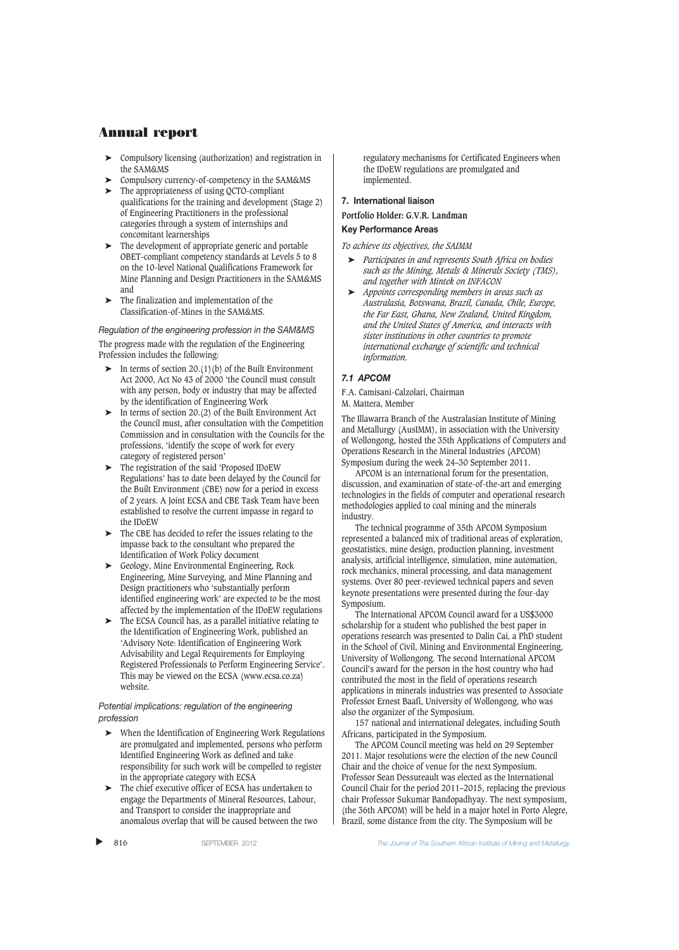- ➤ Compulsory licensing (authorization) and registration in the SAM&MS
- ➤ Compulsory currency-of-competency in the SAM&MS
- ➤ The appropriateness of using QCTO-compliant qualifications for the training and development (Stage 2) of Engineering Practitioners in the professional categories through a system of internships and concomitant learnerships
- ➤ The development of appropriate generic and portable OBET-compliant competency standards at Levels 5 to 8 on the 10-level National Qualifications Framework for Mine Planning and Design Practitioners in the SAM&MS and
- ➤ The finalization and implementation of the Classification-of-Mines in the SAM&MS.

## *Regulation of the engineering profession in the SAM&MS* The progress made with the regulation of the Engineering Profession includes the following:

- $\blacktriangleright$  In terms of section 20.(1)(b) of the Built Environment Act 2000, Act No 43 of 2000 'the Council must consult with any person, body or industry that may be affected by the identification of Engineering Work
- $\triangleright$  In terms of section 20.(2) of the Built Environment Act the Council must, after consultation with the Competition Commission and in consultation with the Councils for the professions, 'identify the scope of work for every category of registered person'
- ➤ The registration of the said 'Proposed IDoEW Regulations' has to date been delayed by the Council for the Built Environment (CBE) now for a period in excess of 2 years. A Joint ECSA and CBE Task Team have been established to resolve the current impasse in regard to the IDoEW
- ➤ The CBE has decided to refer the issues relating to the impasse back to the consultant who prepared the Identification of Work Policy document
- ➤ Geology, Mine Environmental Engineering, Rock Engineering, Mine Surveying, and Mine Planning and Design practitioners who 'substantially perform identified engineering work' are expected to be the most affected by the implementation of the IDoEW regulations
- The ECSA Council has, as a parallel initiative relating to the Identification of Engineering Work, published an 'Advisory Note: Identification of Engineering Work Advisability and Legal Requirements for Employing Registered Professionals to Perform Engineering Service'. This may be viewed on the ECSA (www.ecsa.co.za) website.

## *Potential implications: regulation of the engineering profession*

- When the Identification of Engineering Work Regulations are promulgated and implemented, persons who perform Identified Engineering Work as defined and take responsibility for such work will be compelled to register in the appropriate category with ECSA
- ➤ The chief executive officer of ECSA has undertaken to engage the Departments of Mineral Resources, Labour, and Transport to consider the inappropriate and anomalous overlap that will be caused between the two

regulatory mechanisms for Certificated Engineers when the IDoEW regulations are promulgated and implemented.

# **7. International liaison**

## **Portfolio Holder: G.V.R. Landman**

## **Key Performance Areas**

*To achieve its objectives, the SAIMM*

- ➤ *Participates in and represents South Africa on bodies such as the Mining, Metals & Minerals Society (TMS), and together with Mintek on INFACON*
- ➤ *Appoints corresponding members in areas such as Australasia, Botswana, Brazil, Canada, Chile, Europe, the Far East, Ghana, New Zealand, United Kingdom, and the United States of America, and interacts with sister institutions in other countries to promote international exchange of scientific and technical information.*

## *7.1 APCOM*

F.A. Camisani-Calzolari, Chairman

M. Mattera, Member

The Illawarra Branch of the Australasian Institute of Mining and Metallurgy (AusIMM), in association with the University of Wollongong, hosted the 35th Applications of Computers and Operations Research in the Mineral Industries (APCOM) Symposium during the week 24–30 September 2011.

APCOM is an international forum for the presentation, discussion, and examination of state-of-the-art and emerging technologies in the fields of computer and operational research methodologies applied to coal mining and the minerals industry.

The technical programme of 35th APCOM Symposium represented a balanced mix of traditional areas of exploration, geostatistics, mine design, production planning, investment analysis, artificial intelligence, simulation, mine automation, rock mechanics, mineral processing, and data management systems. Over 80 peer-reviewed technical papers and seven keynote presentations were presented during the four-day Symposium.

The International APCOM Council award for a US\$3000 scholarship for a student who published the best paper in operations research was presented to Dalin Cai, a PhD student in the School of Civil, Mining and Environmental Engineering, University of Wollongong. The second International APCOM Council's award for the person in the host country who had contributed the most in the field of operations research applications in minerals industries was presented to Associate Professor Ernest Baafi, University of Wollongong, who was also the organizer of the Symposium.

157 national and international delegates, including South Africans, participated in the Symposium.

The APCOM Council meeting was held on 29 September 2011. Major resolutions were the election of the new Council Chair and the choice of venue for the next Symposium. Professor Sean Dessureault was elected as the International Council Chair for the period 2011–2015, replacing the previous chair Professor Sukumar Bandopadhyay. The next symposium, (the 36th APCOM) will be held in a major hotel in Porto Alegre, Brazil, some distance from the city. The Symposium will be

▲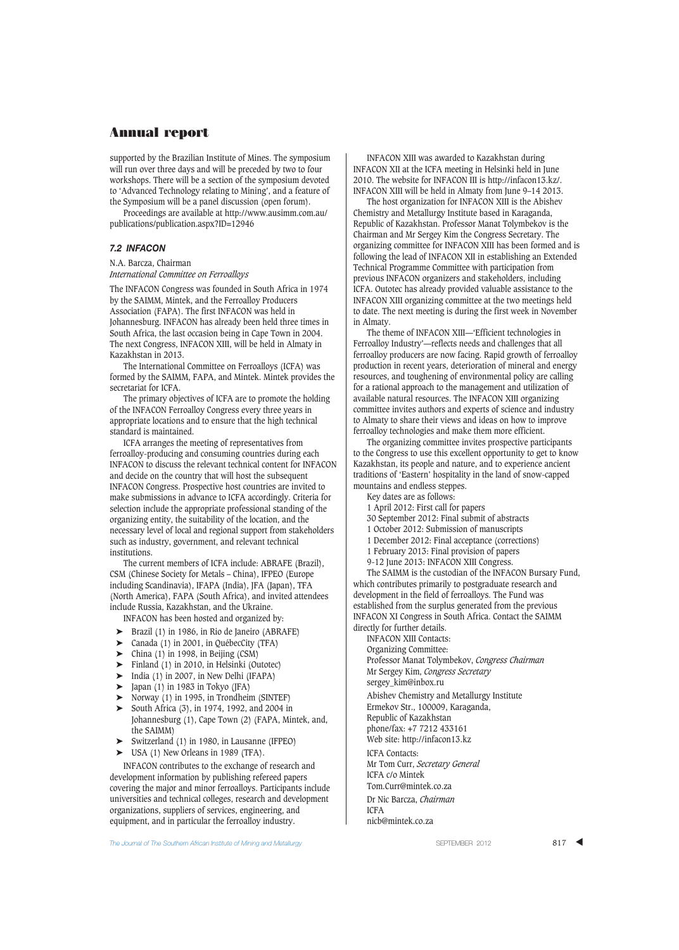supported by the Brazilian Institute of Mines. The symposium will run over three days and will be preceded by two to four workshops. There will be a section of the symposium devoted to 'Advanced Technology relating to Mining', and a feature of the Symposium will be a panel discussion (open forum).

Proceedings are available at http://www.ausimm.com.au/ publications/publication.aspx?ID=12946

## *7.2 INFACON*

N.A. Barcza, Chairman *International Committee on Ferroalloys*

The INFACON Congress was founded in South Africa in 1974 by the SAIMM, Mintek, and the Ferroalloy Producers Association (FAPA). The first INFACON was held in Johannesburg. INFACON has already been held three times in South Africa, the last occasion being in Cape Town in 2004. The next Congress, INFACON XIII, will be held in Almaty in Kazakhstan in 2013.

The International Committee on Ferroalloys (ICFA) was formed by the SAIMM, FAPA, and Mintek. Mintek provides the secretariat for ICFA.

The primary objectives of ICFA are to promote the holding of the INFACON Ferroalloy Congress every three years in appropriate locations and to ensure that the high technical standard is maintained.

ICFA arranges the meeting of representatives from ferroalloy-producing and consuming countries during each INFACON to discuss the relevant technical content for INFACON and decide on the country that will host the subsequent INFACON Congress. Prospective host countries are invited to make submissions in advance to ICFA accordingly. Criteria for selection include the appropriate professional standing of the organizing entity, the suitability of the location, and the necessary level of local and regional support from stakeholders such as industry, government, and relevant technical institutions.

The current members of ICFA include: ABRAFE (Brazil), CSM (Chinese Society for Metals – China), IFPEO (Europe including Scandinavia), IFAPA (India), JFA (Japan), TFA (North America), FAPA (South Africa), and invited attendees include Russia, Kazakhstan, and the Ukraine.

INFACON has been hosted and organized by:

- ➤ Brazil (1) in 1986, in Rio de Janeiro (ABRAFE)
- ➤ Canada (1) in 2001, in QuébecCity (TFA)
- $\blacktriangleright$  China (1) in 1998, in Beijing (CSM)
- ➤ Finland (1) in 2010, in Helsinki (Outotec)
- ➤ India (1) in 2007, in New Delhi (IFAPA)
- ➤ Japan (1) in 1983 in Tokyo (JFA)
- ➤ Norway (1) in 1995, in Trondheim (SINTEF)
- ➤ South Africa (3), in 1974, 1992, and 2004 in Johannesburg (1), Cape Town (2) (FAPA, Mintek, and, the SAIMM)
- ➤ Switzerland (1) in 1980, in Lausanne (IFPEO)
- ➤ USA (1) New Orleans in 1989 (TFA).

INFACON contributes to the exchange of research and development information by publishing refereed papers covering the major and minor ferroalloys. Participants include universities and technical colleges, research and development organizations, suppliers of services, engineering, and equipment, and in particular the ferroalloy industry.

INFACON XIII was awarded to Kazakhstan during INFACON XII at the ICFA meeting in Helsinki held in June 2010. The website for INFACON III is http://infacon13.kz/. INFACON XIII will be held in Almaty from June 9–14 2013.

The host organization for INFACON XIII is the Abishev Chemistry and Metallurgy Institute based in Karaganda, Republic of Kazakhstan. Professor Manat Tolymbekov is the Chairman and Mr Sergey Kim the Congress Secretary. The organizing committee for INFACON XIII has been formed and is following the lead of INFACON XII in establishing an Extended Technical Programme Committee with participation from previous INFACON organizers and stakeholders, including ICFA. Outotec has already provided valuable assistance to the INFACON XIII organizing committee at the two meetings held to date. The next meeting is during the first week in November in Almaty.

The theme of INFACON XIII—'Efficient technologies in Ferroalloy Industry'—reflects needs and challenges that all ferroalloy producers are now facing. Rapid growth of ferroalloy production in recent years, deterioration of mineral and energy resources, and toughening of environmental policy are calling for a rational approach to the management and utilization of available natural resources. The INFACON XIII organizing committee invites authors and experts of science and industry to Almaty to share their views and ideas on how to improve ferroalloy technologies and make them more efficient.

The organizing committee invites prospective participants to the Congress to use this excellent opportunity to get to know Kazakhstan, its people and nature, and to experience ancient traditions of 'Eastern' hospitality in the land of snow-capped mountains and endless steppes.

Key dates are as follows:

- 1 April 2012: First call for papers
- 30 September 2012: Final submit of abstracts
- 1 October 2012: Submission of manuscripts
- 1 December 2012: Final acceptance (corrections)
- 1 February 2013: Final provision of papers

9-12 June 2013: INFACON XIII Congress.

The SAIMM is the custodian of the INFACON Bursary Fund, which contributes primarily to postgraduate research and development in the field of ferroalloys. The Fund was established from the surplus generated from the previous INFACON XI Congress in South Africa. Contact the SAIMM directly for further details.

INFACON XIII Contacts: Organizing Committee:

Professor Manat Tolymbekov, *Congress Chairman* Mr Sergey Kim, *Congress Secretary* sergey\_kim@inbox.ru

- Abishev Chemistry and Metallurgy Institute
- Ermekov Str., 100009, Karaganda,

Republic of Kazakhstan

phone/fax: +7 7212 433161 Web site: http://infacon13.kz

ICFA Contacts:

Mr Tom Curr, *Secretary General* ICFA c/o Mintek Tom.Curr@mintek.co.za Dr Nic Barcza, *Chairman*

ICFA

nicb@mintek.co.za

The Journal of The Southern African Institute of Mining and Metallurgy **SEPTEMBER 2012** 817 **817 ▲** SEPTEMBER 2012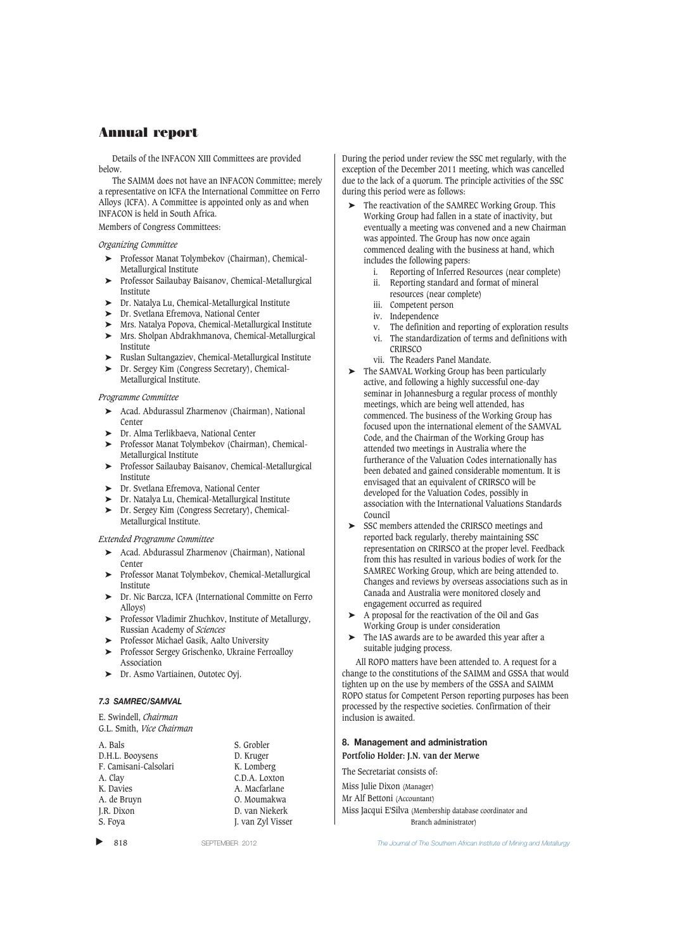Details of the INFACON XIII Committees are provided below.

The SAIMM does not have an INFACON Committee; merely a representative on ICFA the International Committee on Ferro Alloys (ICFA). A Committee is appointed only as and when INFACON is held in South Africa.

Members of Congress Committees:

### *Organizing Committee*

- ➤ Professor Manat Tolymbekov (Chairman), Chemical-Metallurgical Institute
- ➤ Professor Sailaubay Baisanov, Chemical-Metallurgical Institute
- ➤ Dr. Natalya Lu, Chemical-Metallurgical Institute
- ➤ Dr. Svetlana Efremova, National Center
- ➤ Mrs. Natalya Popova, Chemical-Metallurgical Institute
- ➤ Mrs. Sholpan Abdrakhmanova, Chemical-Metallurgical Institute
- ➤ Ruslan Sultangaziev, Chemical-Metallurgical Institute
- ➤ Dr. Sergey Kim (Congress Secretary), Chemical-Metallurgical Institute.

### *Programme Committee*

- ➤ Acad. Abdurassul Zharmenov (Chairman), National Center
- ➤ Dr. Alma Terlikbaeva, National Center
- ➤ Professor Manat Tolymbekov (Chairman), Chemical-Metallurgical Institute
- ➤ Professor Sailaubay Baisanov, Chemical-Metallurgical Institute
- ► Dr. Svetlana Efremova, National Center<br>► Dr. Natalva Lu Chemical-Metallurgical
- ➤ Dr. Natalya Lu, Chemical-Metallurgical Institute
- ➤ Dr. Sergey Kim (Congress Secretary), Chemical-
- Metallurgical Institute.

## *Extended Programme Committee*

- ➤ Acad. Abdurassul Zharmenov (Chairman), National Center
- ➤ Professor Manat Tolymbekov, Chemical-Metallurgical Institute
- ➤ Dr. Nic Barcza, ICFA (International Committe on Ferro Alloys)
- ➤ Professor Vladimir Zhuchkov, Institute of Metallurgy, Russian Academy of *Sciences*
- ➤ Professor Michael Gasik, Aalto University
- ➤ Professor Sergey Grischenko, Ukraine Ferroalloy Association
- ➤ Dr. Asmo Vartiainen, Outotec Oyj.

### *7.3 SAMREC/SAMVAL*

E. Swindell, *Chairman*

```
G.L. Smith, Vice Chairman
```

| A. Bals               | S. Grobler        |
|-----------------------|-------------------|
| D.H.L. Booysens       | D. Kruger         |
| F. Camisani-Calsolari | K. Lomberg        |
| A. Clay               | C.D.A. Loxton     |
| K. Davies             | A. Macfarlane     |
| A. de Bruyn           | O. Moumakwa       |
| J.R. Dixon            | D. van Niekerk    |
| S. Foya               | J. van Zyl Visser |
|                       |                   |

▲

During the period under review the SSC met regularly, with the exception of the December 2011 meeting, which was cancelled due to the lack of a quorum. The principle activities of the SSC during this period were as follows:

- The reactivation of the SAMREC Working Group. This Working Group had fallen in a state of inactivity, but eventually a meeting was convened and a new Chairman was appointed. The Group has now once again commenced dealing with the business at hand, which includes the following papers:
	- Reporting of Inferred Resources (near complete)
	- ii. Reporting standard and format of mineral resources (near complete)
	- iii. Competent person
	- iv. Independence
	-
	- v. The definition and reporting of exploration results vi. The standardization of terms and definitions with **CRIRSCO**
	- vii. The Readers Panel Mandate.
- ➤ The SAMVAL Working Group has been particularly active, and following a highly successful one-day seminar in Johannesburg a regular process of monthly meetings, which are being well attended, has commenced. The business of the Working Group has focused upon the international element of the SAMVAL Code, and the Chairman of the Working Group has attended two meetings in Australia where the furtherance of the Valuation Codes internationally has been debated and gained considerable momentum. It is envisaged that an equivalent of CRIRSCO will be developed for the Valuation Codes, possibly in association with the International Valuations Standards Council
- ➤ SSC members attended the CRIRSCO meetings and reported back regularly, thereby maintaining SSC representation on CRIRSCO at the proper level. Feedback from this has resulted in various bodies of work for the SAMREC Working Group, which are being attended to. Changes and reviews by overseas associations such as in Canada and Australia were monitored closely and engagement occurred as required
- ➤ A proposal for the reactivation of the Oil and Gas Working Group is under consideration
- ➤ The IAS awards are to be awarded this year after a suitable judging process.

All ROPO matters have been attended to. A request for a change to the constitutions of the SAIMM and GSSA that would tighten up on the use by members of the GSSA and SAIMM ROPO status for Competent Person reporting purposes has been processed by the respective societies. Confirmation of their inclusion is awaited.

### **8. Management and administration**

**Portfolio Holder: J.N. van der Merwe**

The Secretariat consists of:

Miss Julie Dixon (Manager)

Mr Alf Bettoni (Accountant)

Miss Jacqui E'Silva (Membership database coordinator and Branch administrator)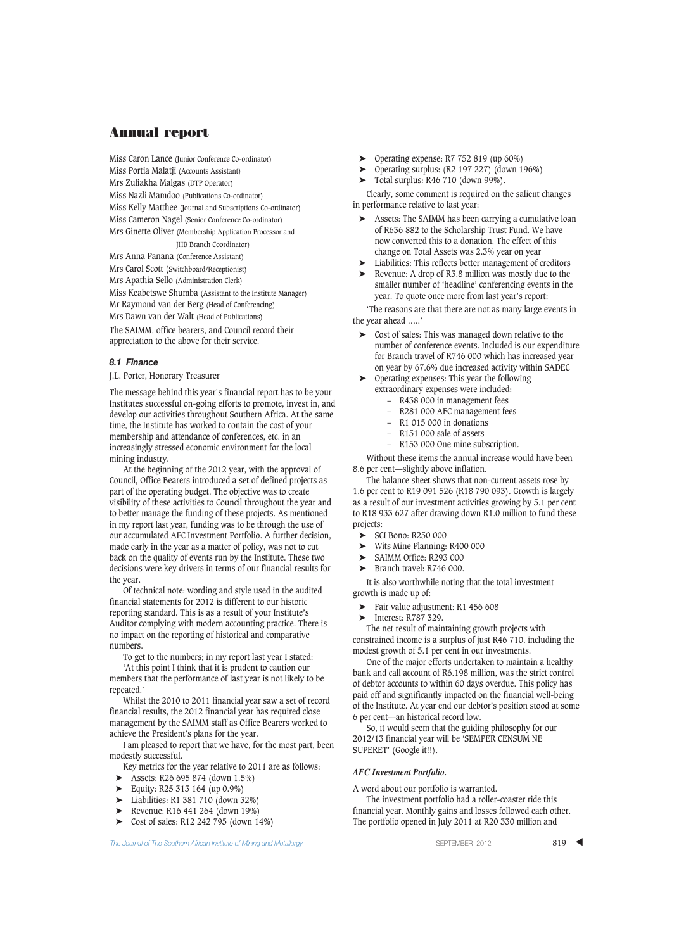Miss Caron Lance (Junior Conference Co-ordinator) Miss Portia Malatji (Accounts Assistant) Mrs Zuliakha Malgas (DTP Operator) Miss Nazli Mamdoo (Publications Co-ordinator) Miss Kelly Matthee (Journal and Subscriptions Co-ordinator) Miss Cameron Nagel (Senior Conference Co-ordinator) Mrs Ginette Oliver (Membership Application Processor and JHB Branch Coordinator) Mrs Anna Panana (Conference Assistant)

Mrs Carol Scott (Switchboard/Receptionist) Mrs Apathia Sello (Administration Clerk) Miss Keabetswe Shumba (Assistant to the Institute Manager) Mr Raymond van der Berg (Head of Conferencing) Mrs Dawn van der Walt (Head of Publications)

The SAIMM, office bearers, and Council record their appreciation to the above for their service.

### *8.1 Finance*

J.L. Porter, Honorary Treasurer

The message behind this year's financial report has to be your Institutes successful on-going efforts to promote, invest in, and develop our activities throughout Southern Africa. At the same time, the Institute has worked to contain the cost of your membership and attendance of conferences, etc. in an increasingly stressed economic environment for the local mining industry.

At the beginning of the 2012 year, with the approval of Council, Office Bearers introduced a set of defined projects as part of the operating budget. The objective was to create visibility of these activities to Council throughout the year and to better manage the funding of these projects. As mentioned in my report last year, funding was to be through the use of our accumulated AFC Investment Portfolio. A further decision, made early in the year as a matter of policy, was not to cut back on the quality of events run by the Institute. These two decisions were key drivers in terms of our financial results for the year.

Of technical note: wording and style used in the audited financial statements for 2012 is different to our historic reporting standard. This is as a result of your Institute's Auditor complying with modern accounting practice. There is no impact on the reporting of historical and comparative numbers.

To get to the numbers; in my report last year I stated:

'At this point I think that it is prudent to caution our members that the performance of last year is not likely to be repeated.'

Whilst the 2010 to 2011 financial year saw a set of record financial results, the 2012 financial year has required close management by the SAIMM staff as Office Bearers worked to achieve the President's plans for the year.

I am pleased to report that we have, for the most part, been modestly successful.

Key metrics for the year relative to 2011 are as follows:

- ➤ Assets: R26 695 874 (down 1.5%)
- ➤ Equity: R25 313 164 (up 0.9%)
- ➤ Liabilities: R1 381 710 (down 32%)
- ➤ Revenue: R16 441 264 (down 19%)
- ➤ Cost of sales: R12 242 795 (down 14%)

- ➤ Operating expense: R7 752 819 (up 60%)
- $\triangleright$  Operating surplus: (R2 197 227) (down 196%)
- ➤ Total surplus: R46 710 (down 99%).

Clearly, some comment is required on the salient changes in performance relative to last year:

- ➤ Assets: The SAIMM has been carrying a cumulative loan of R636 882 to the Scholarship Trust Fund. We have now converted this to a donation. The effect of this change on Total Assets was 2.3% year on year
- Liabilities: This reflects better management of creditors
- ➤ Revenue: A drop of R3.8 million was mostly due to the smaller number of 'headline' conferencing events in the year. To quote once more from last year's report:

'The reasons are that there are not as many large events in the year ahead …..'

- ➤ Cost of sales: This was managed down relative to the number of conference events. Included is our expenditure for Branch travel of R746 000 which has increased year on year by 67.6% due increased activity within SADEC
- ➤ Operating expenses: This year the following extraordinary expenses were included:
	- R438 000 in management fees
	- R281 000 AFC management fees
	- R1 015 000 in donations
	- R151 000 sale of assets
	- R153 000 One mine subscription.

Without these items the annual increase would have been 8.6 per cent—slightly above inflation.

The balance sheet shows that non-current assets rose by 1.6 per cent to R19 091 526 (R18 790 093). Growth is largely as a result of our investment activities growing by 5.1 per cent to R18 933 627 after drawing down R1.0 million to fund these projects:

- ➤ SCI Bono: R250 000
- ➤ Wits Mine Planning: R400 000
- ➤ SAIMM Office: R293 000
- ➤ Branch travel: R746 000.

It is also worthwhile noting that the total investment growth is made up of:

- Fair value adjustment: R1 456 608
- ➤ Interest: R787 329.

The net result of maintaining growth projects with constrained income is a surplus of just R46 710, including the modest growth of 5.1 per cent in our investments.

One of the major efforts undertaken to maintain a healthy bank and call account of R6.198 million, was the strict control of debtor accounts to within 60 days overdue. This policy has paid off and significantly impacted on the financial well-being of the Institute. At year end our debtor's position stood at some 6 per cent—an historical record low.

So, it would seem that the guiding philosophy for our 2012/13 financial year will be 'SEMPER CENSUM NE SUPERET' (Google it!!).

#### *AFC Investment Portfolio.*

A word about our portfolio is warranted.

The investment portfolio had a roller-coaster ride this financial year. Monthly gains and losses followed each other. The portfolio opened in July 2011 at R20 330 million and

**The Journal of The Southern African Institute of Mining and Metallurgy Server SEPTEMBER 2012 819 819**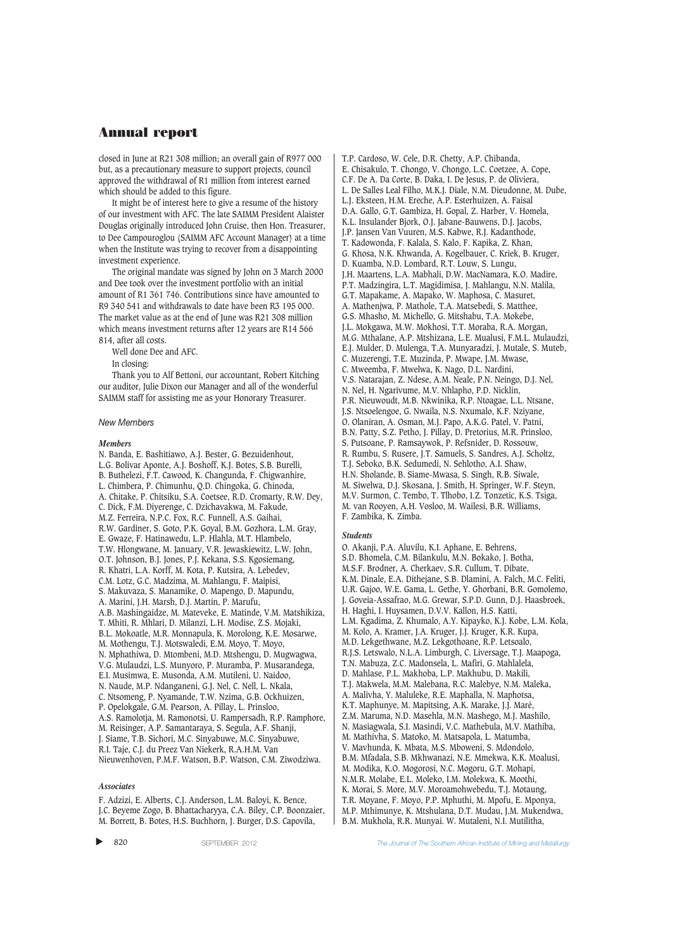closed in June at R21 308 million; an overall gain of R977 000 but, as a precautionary measure to support projects, council approved the withdrawal of R1 million from interest earned which should be added to this figure.

It might be of interest here to give a resume of the history of our investment with AFC. The late SAIMM President Alaister Douglas originally introduced John Cruise, then Hon. Treasurer, to Dee Campouroglou (SAIMM AFC Account Manager) at a time when the Institute was trying to recover from a disappointing investment experience.

The original mandate was signed by John on 3 March 2000 and Dee took over the investment portfolio with an initial amount of R1 361 746. Contributions since have amounted to R9 340 541 and withdrawals to date have been R3 195 000. The market value as at the end of June was R21 308 million which means investment returns after 12 years are R14 566 814, after all costs.

Well done Dee and AFC.

In closing:

Thank you to Alf Bettoni, our accountant, Robert Kitching our auditor, Julie Dixon our Manager and all of the wonderful SAIMM staff for assisting me as your Honorary Treasurer.

#### *New Members*

#### *Members*

N. Banda, E. Bashitiawo, A.J. Bester, G. Bezuidenhout, L.G. Bolivar Aponte, A.J. Boshoff, K.J. Botes, S.B. Burelli, B. Buthelezi, F.T. Cawood, K. Changunda, F. Chigwanhire, L. Chimbera, P. Chimunhu, Q.D. Chingoka, G. Chinoda, A. Chitake, P. Chitsiku, S.A. Coetsee, R.D. Cromarty, R.W. Dey, C. Dick, F.M. Diyerenge, C. Dzichavakwa, M. Fakude, M.Z. Ferreira, N.P.C. Fox, R.C. Funnell, A.S. Gaihai, R.W. Gardiner, S. Goto, P.K. Goyal, B.M. Gozhora, L.M. Gray, E. Gwaze, F. Hatinawedu, L.P. Hlahla, M.T. Hlambelo, T.W. Hlongwane, M. January, V.R. Jewaskiewitz, L.W. John, O.T. Johnson, B.J. Jones, P.J. Kekana, S.S. Kgosiemang, R. Khatri, L.A. Korff, M. Kota, P. Kutsira, A. Lebedev, C.M. Lotz, G.C. Madzima, M. Mahlangu, F. Maipisi, S. Makuvaza, S. Manamike, O. Mapengo, D. Mapundu, A. Marini, J.H. Marsh, D.J. Martin, P. Marufu, A.B. Mashingaidze, M. Mateveke, E. Matinde, V.M. Matshikiza, T. Mhiti, R. Mhlari, D. Milanzi, L.H. Modise, Z.S. Mojaki, B.L. Mokoatle, M.R. Monnapula, K. Morolong, K.E. Mosarwe, M. Mothengu, T.J. Motswaledi, E.M. Moyo, T. Moyo, N. Mphathiwa, D. Mtombeni, M.D. Mtshengu, D. Mugwagwa, V.G. Mulaudzi, L.S. Munyoro, P. Muramba, P. Musarandega, E.I. Musimwa, E. Musonda, A.M. Mutileni, U. Naidoo, N. Naude, M.P. Ndanganeni, G.J. Nel, C. Nell, L. Nkala, C. Ntsomeng, P. Nyamande, T.W. Nzima, G.B. Ockhuizen, P. Opelokgale, G.M. Pearson, A. Pillay, L. Prinsloo, A.S. Ramolotja, M. Ramonotsi, U. Rampersadh, R.P. Ramphore, M. Reisinger, A.P. Samantaraya, S. Segula, A.F. Shanji, J. Siame, T.B. Sichori, M.C. Sinyabuwe, M.C. Sinyabuwe, R.I. Taje, C.J. du Preez Van Niekerk, R.A.H.M. Van Nieuwenhoven, P.M.F. Watson, B.P. Watson, C.M. Ziwodziwa.

#### *Associates*

F. Adzizi, E. Alberts, C.J. Anderson, L.M. Baloyi, K. Bence, J.C. Beyeme Zogo, B. Bhattacharyya, C.A. Biley, C.P. Boonzaier, M. Borrett, B. Botes, H.S. Buchhorn, J. Burger, D.S. Capovila,

T.P. Cardoso, W. Cele, D.R. Chetty, A.P. Chibanda, E. Chisakulo, T. Chongo, V. Chongo, L.C. Coetzee, A. Cope, C.F. De A. Da Corte, B. Daka, I. De Jesus, P. de Oliviera, L. De Salles Leal Filho, M.K.J. Diale, N.M. Dieudonne, M. Dube, L.J. Eksteen, H.M. Ereche, A.P. Esterhuizen, A. Faisal D.A. Gallo, G.T. Gambiza, H. Gopal, Z. Harber, V. Homela, K.L. Insulander Bjork, O.J. Jabane-Bauwens, D.J. Jacobs, J.P. Jansen Van Vuuren, M.S. Kabwe, R.J. Kadanthode, T. Kadowonda, F. Kalala, S. Kalo, F. Kapika, Z. Khan, G. Khosa, N.K. Khwanda, A. Kogelbauer, C. Kriek, B. Kruger, D. Kuamba, N.D. Lombard, R.T. Louw, S. Lungu, J.H. Maartens, L.A. Mabhali, D.W. MacNamara, K.O. Madire, P.T. Madzingira, L.T. Magidimisa, J. Mahlangu, N.N. Malila, G.T. Mapakame, A. Mapako, W. Maphosa, C. Masuret, A. Mathenjwa, P. Mathole, T.A. Matsebedi, S. Matthee, G.S. Mhasho, M. Michello, G. Mitshabu, T.A. Mokebe, J.L. Mokgawa, M.W. Mokhosi, T.T. Moraba, R.A. Morgan, M.G. Mthalane, A.P. Mtshizana, L.E. Mualusi, F.M.L. Mulaudzi, E.J. Mulder, D. Mulenga, T.A. Munyaradzi, J. Mutale, S. Muteb, C. Muzerengi, T.E. Muzinda, P. Mwape, J.M. Mwase, C. Mweemba, F. Mwelwa, K. Nago, D.L. Nardini, V.S. Natarajan, Z. Ndese, A.M. Neale, P.N. Neingo, D.J. Nel, N. Nel, H. Ngarivume, M.V. Nhlapho, P.D. Nicklin, P.R. Nieuwoudt, M.B. Nkwinika, R.P. Ntoagae, L.L. Ntsane, J.S. Ntsoelengoe, G. Nwaila, N.S. Nxumalo, K.F. Nziyane, O. Olaniran, A. Osman, M.J. Papo, A.K.G. Patel, V. Patni, B.N. Patty, S.Z. Petho, J. Pillay, D. Pretorius, M.R. Prinsloo, S. Putsoane, P. Ramsaywok, P. Refsnider, D. Rossouw, R. Rumbu, S. Rusere, J.T. Samuels, S. Sandres, A.J. Scholtz, T.J. Seboko, B.K. Sedumedi, N. Sehlotho, A.I. Shaw, H.N. Sholande, B. Siame-Mwasa, S. Singh, R.B. Siwale, M. Siwelwa, D.J. Skosana, J. Smith, H. Springer, W.F. Steyn, M.V. Surmon, C. Tembo, T. Tlhobo, I.Z. Tonzetic, K.S. Tsiga, M. van Rooyen, A.H. Vosloo, M. Wailesi, B.R. Williams, F. Zambika, K. Zimba.

#### *Students*

O. Akanji, P.A. Aluvilu, K.I. Aphane, E. Behrens, S.D. Bhomela, C.M. Bilankulu, M.N. Bokako, J. Botha, M.S.F. Brodner, A. Cherkaev, S.R. Cullum, T. Dibate, K.M. Dinale, E.A. Dithejane, S.B. Dlamini, A. Falch, M.C. Feliti, U.R. Gajoo, W.E. Gama, L. Gethe, Y. Ghorbani, B.R. Gomolemo, J. Goveia-Assafrao, M.G. Grewar, S.P.D. Gunn, D.J. Haasbroek, H. Haghi, I. Huysamen, D.V.V. Kallon, H.S. Katti, L.M. Kgadima, Z. Khumalo, A.Y. Kipayko, K.J. Kobe, L.M. Kola, M. Kolo, A. Kramer, J.A. Kruger, J.J. Kruger, K.R. Kupa, M.D. Lekgethwane, M.Z. Lekgothoane, R.P. Letsoalo, R.J.S. Letswalo, N.L.A. Limburgh, C. Liversage, T.J. Maapoga, T.N. Mabuza, Z.C. Madonsela, L. Mafiri, G. Mahlalela, D. Mahlase, P.L. Makhoba, L.P. Makhubu, D. Makili, T.J. Makwela, M.M. Malebana, R.C. Malebye, N.M. Maleka, A. Malivha, Y. Maluleke, R.E. Maphalla, N. Maphotsa, K.T. Maphunye, M. Mapitsing, A.K. Marake, J.J. Maré, Z.M. Maruma, N.D. Masehla, M.N. Mashego, M.J. Mashilo, N. Masiagwala, S.I. Masindi, V.C. Mathebula, M.V. Mathiba, M. Mathivha, S. Matoko, M. Matsapola, L. Matumba, V. Mavhunda, K. Mbata, M.S. Mboweni, S. Mdondolo, B.M. Mfadala, S.B. Mkhwanazi, N.E. Mmekwa, K.K. Moalusi, M. Modika, K.O. Mogorosi, N.C. Mogoru, G.T. Mohapi, N.M.R. Molabe, E.L. Moleko, I.M. Molekwa, K. Moothi, K. Morai, S. More, M.V. Moroamohwebedu, T.J. Motaung, T.R. Moyane, F. Moyo, P.P. Mphuthi, M. Mpofu, E. Mponya, M.P. Mthimunye, K. Mtshulana, D.T. Mudau, J.M. Mukendwa, B.M. Mukhola, R.R. Munyai. W. Mutaleni, N.I. Mutilitha,

▲